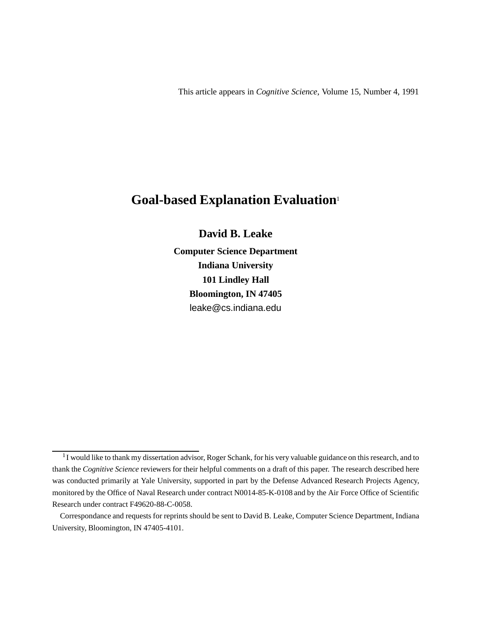# **Goal-based Explanation Evaluation**<sup>1</sup>

**David B. Leake**

**Computer Science Department Indiana University 101 Lindley Hall Bloomington, IN 47405** leake@cs.indiana.edu

<sup>&</sup>lt;sup>1</sup>I would like to thank my dissertation advisor, Roger Schank, for his very valuable guidance on this research, and to thank the *Cognitive Science* reviewers for their helpful comments on a draft of this paper. The research described here was conducted primarily at Yale University, supported in part by the Defense Advanced Research Projects Agency, monitored by the Office of Naval Research under contract N0014-85-K-0108 and by the Air Force Office of Scientific Research under contract F49620-88-C-0058.

Correspondance and requests for reprints should be sent to David B. Leake, Computer Science Department, Indiana University, Bloomington, IN 47405-4101.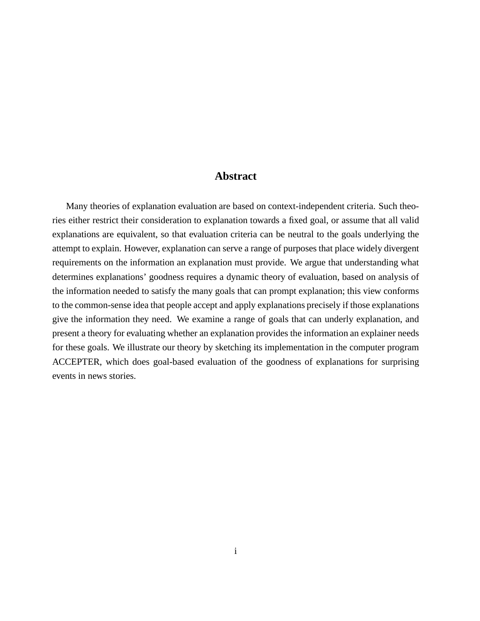## **Abstract**

Many theories of explanation evaluation are based on context-independent criteria. Such theories either restrict their consideration to explanation towards a fixed goal, or assume that all valid explanations are equivalent, so that evaluation criteria can be neutral to the goals underlying the attempt to explain. However, explanation can serve a range of purposes that place widely divergent requirements on the information an explanation must provide. We argue that understanding what determines explanations' goodness requires a dynamic theory of evaluation, based on analysis of the information needed to satisfy the many goals that can prompt explanation; this view conforms to the common-sense idea that people accept and apply explanations precisely if those explanations give the information they need. We examine a range of goals that can underly explanation, and present a theory for evaluating whether an explanation provides the information an explainer needs for these goals. We illustrate our theory by sketching its implementation in the computer program ACCEPTER, which does goal-based evaluation of the goodness of explanations for surprising events in news stories.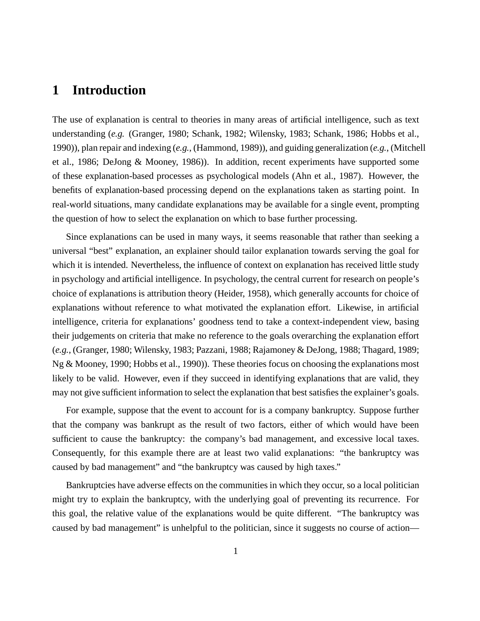# **1 Introduction**

The use of explanation is central to theories in many areas of artificial intelligence, such as text understanding (*e.g.* (Granger, 1980; Schank, 1982; Wilensky, 1983; Schank, 1986; Hobbs et al., 1990)), plan repair and indexing (*e.g.*, (Hammond, 1989)), and guiding generalization (*e.g.*, (Mitchell et al., 1986; DeJong & Mooney, 1986)). In addition, recent experiments have supported some of these explanation-based processes as psychological models (Ahn et al., 1987). However, the benefits of explanation-based processing depend on the explanations taken as starting point. In real-world situations, many candidate explanations may be available for a single event, prompting the question of how to select the explanation on which to base further processing.

Since explanations can be used in many ways, it seems reasonable that rather than seeking a universal "best" explanation, an explainer should tailor explanation towards serving the goal for which it is intended. Nevertheless, the influence of context on explanation has received little study in psychology and artificial intelligence. In psychology, the central current for research on people's choice of explanations is attribution theory (Heider, 1958), which generally accounts for choice of explanations without reference to what motivated the explanation effort. Likewise, in artificial intelligence, criteria for explanations' goodness tend to take a context-independent view, basing their judgements on criteria that make no reference to the goals overarching the explanation effort (*e.g.*, (Granger, 1980; Wilensky, 1983; Pazzani, 1988; Rajamoney & DeJong, 1988; Thagard, 1989; Ng & Mooney, 1990; Hobbs et al., 1990)). These theories focus on choosing the explanations most likely to be valid. However, even if they succeed in identifying explanations that are valid, they may not give sufficient information to select the explanation that best satisfies the explainer's goals.

For example, suppose that the event to account for is a company bankruptcy. Suppose further that the company was bankrupt as the result of two factors, either of which would have been sufficient to cause the bankruptcy: the company's bad management, and excessive local taxes. Consequently, for this example there are at least two valid explanations: "the bankruptcy was caused by bad management" and "the bankruptcy was caused by high taxes."

Bankruptcies have adverse effects on the communities in which they occur, so a local politician might try to explain the bankruptcy, with the underlying goal of preventing its recurrence. For this goal, the relative value of the explanations would be quite different. "The bankruptcy was caused by bad management" is unhelpful to the politician, since it suggests no course of action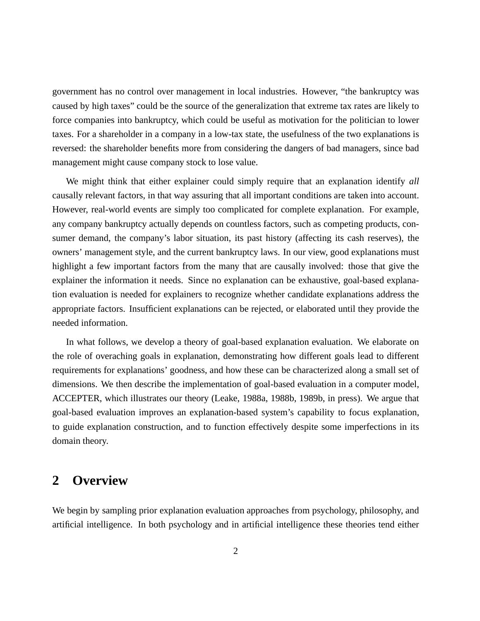government has no control over management in local industries. However, "the bankruptcy was caused by high taxes" could be the source of the generalization that extreme tax rates are likely to force companies into bankruptcy, which could be useful as motivation for the politician to lower taxes. For a shareholder in a company in a low-tax state, the usefulness of the two explanations is reversed: the shareholder benefits more from considering the dangers of bad managers, since bad management might cause company stock to lose value.

We might think that either explainer could simply require that an explanation identify *all* causally relevant factors, in that way assuring that all important conditions are taken into account. However, real-world events are simply too complicated for complete explanation. For example, any company bankruptcy actually depends on countless factors, such as competing products, consumer demand, the company's labor situation, its past history (affecting its cash reserves), the owners' management style, and the current bankruptcy laws. In our view, good explanations must highlight a few important factors from the many that are causally involved: those that give the explainer the information it needs. Since no explanation can be exhaustive, goal-based explanation evaluation is needed for explainers to recognize whether candidate explanations address the appropriate factors. Insufficient explanations can be rejected, or elaborated until they provide the needed information.

In what follows, we develop a theory of goal-based explanation evaluation. We elaborate on the role of overaching goals in explanation, demonstrating how different goals lead to different requirements for explanations' goodness, and how these can be characterized along a small set of dimensions. We then describe the implementation of goal-based evaluation in a computer model, ACCEPTER, which illustrates our theory (Leake, 1988a, 1988b, 1989b, in press). We argue that goal-based evaluation improves an explanation-based system's capability to focus explanation, to guide explanation construction, and to function effectively despite some imperfections in its domain theory.

# **2 Overview**

We begin by sampling prior explanation evaluation approaches from psychology, philosophy, and artificial intelligence. In both psychology and in artificial intelligence these theories tend either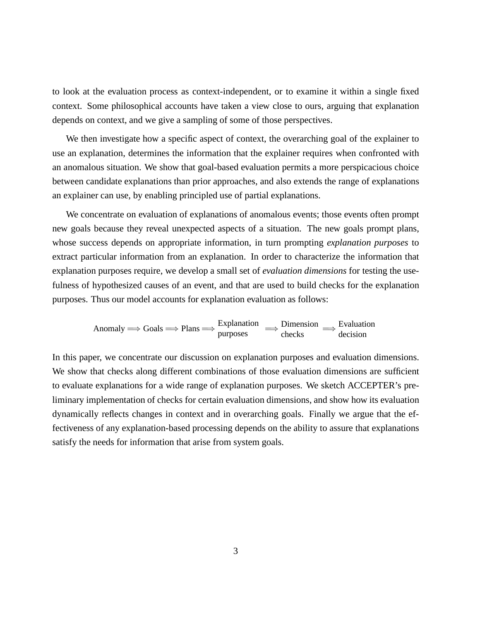to look at the evaluation process as context-independent, or to examine it within a single fixed context. Some philosophical accounts have taken a view close to ours, arguing that explanation depends on context, and we give a sampling of some of those perspectives.

We then investigate how a specific aspect of context, the overarching goal of the explainer to use an explanation, determines the information that the explainer requires when confronted with an anomalous situation. We show that goal-based evaluation permits a more perspicacious choice between candidate explanations than prior approaches, and also extends the range of explanations an explainer can use, by enabling principled use of partial explanations.

We concentrate on evaluation of explanations of anomalous events; those events often prompt new goals because they reveal unexpected aspects of a situation. The new goals prompt plans, whose success depends on appropriate information, in turn prompting *explanation purposes* to extract particular information from an explanation. In order to characterize the information that explanation purposes require, we develop a small set of *evaluation dimensions* for testing the usefulness of hypothesized causes of an event, and that are used to build checks for the explanation purposes. Thus our model accounts for explanation evaluation as follows:

Anomaly =) Goals =) Plans =) Explanation purposes =) Dimension checks =) Evaluation decision

In this paper, we concentrate our discussion on explanation purposes and evaluation dimensions. We show that checks along different combinations of those evaluation dimensions are sufficient to evaluate explanations for a wide range of explanation purposes. We sketch ACCEPTER's preliminary implementation of checks for certain evaluation dimensions, and show how its evaluation dynamically reflects changes in context and in overarching goals. Finally we argue that the effectiveness of any explanation-based processing depends on the ability to assure that explanations satisfy the needs for information that arise from system goals.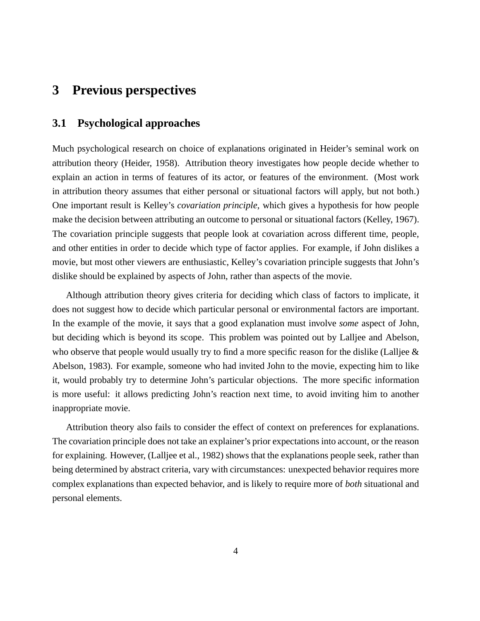# **3 Previous perspectives**

## **3.1 Psychological approaches**

Much psychological research on choice of explanations originated in Heider's seminal work on attribution theory (Heider, 1958). Attribution theory investigates how people decide whether to explain an action in terms of features of its actor, or features of the environment. (Most work in attribution theory assumes that either personal or situational factors will apply, but not both.) One important result is Kelley's *covariation principle*, which gives a hypothesis for how people make the decision between attributing an outcome to personal or situational factors (Kelley, 1967). The covariation principle suggests that people look at covariation across different time, people, and other entities in order to decide which type of factor applies. For example, if John dislikes a movie, but most other viewers are enthusiastic, Kelley's covariation principle suggests that John's dislike should be explained by aspects of John, rather than aspects of the movie.

Although attribution theory gives criteria for deciding which class of factors to implicate, it does not suggest how to decide which particular personal or environmental factors are important. In the example of the movie, it says that a good explanation must involve *some* aspect of John, but deciding which is beyond its scope. This problem was pointed out by Lalljee and Abelson, who observe that people would usually try to find a more specific reason for the dislike (Lalljee  $\&$ Abelson, 1983). For example, someone who had invited John to the movie, expecting him to like it, would probably try to determine John's particular objections. The more specific information is more useful: it allows predicting John's reaction next time, to avoid inviting him to another inappropriate movie.

Attribution theory also fails to consider the effect of context on preferences for explanations. The covariation principle does not take an explainer's prior expectations into account, or the reason for explaining. However, (Lalljee et al., 1982) shows that the explanations people seek, rather than being determined by abstract criteria, vary with circumstances: unexpected behavior requires more complex explanations than expected behavior, and is likely to require more of *both* situational and personal elements.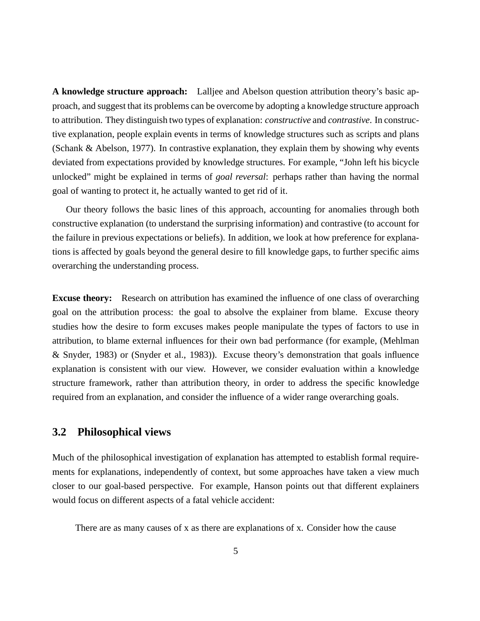**A knowledge structure approach:** Lalljee and Abelson question attribution theory's basic approach, and suggest that its problems can be overcome by adopting a knowledge structure approach to attribution. They distinguish two types of explanation: *constructive* and *contrastive*. In constructive explanation, people explain events in terms of knowledge structures such as scripts and plans (Schank & Abelson, 1977). In contrastive explanation, they explain them by showing why events deviated from expectations provided by knowledge structures. For example, "John left his bicycle unlocked" might be explained in terms of *goal reversal*: perhaps rather than having the normal goal of wanting to protect it, he actually wanted to get rid of it.

Our theory follows the basic lines of this approach, accounting for anomalies through both constructive explanation (to understand the surprising information) and contrastive (to account for the failure in previous expectations or beliefs). In addition, we look at how preference for explanations is affected by goals beyond the general desire to fill knowledge gaps, to further specific aims overarching the understanding process.

**Excuse theory:** Research on attribution has examined the influence of one class of overarching goal on the attribution process: the goal to absolve the explainer from blame. Excuse theory studies how the desire to form excuses makes people manipulate the types of factors to use in attribution, to blame external influences for their own bad performance (for example, (Mehlman & Snyder, 1983) or (Snyder et al., 1983)). Excuse theory's demonstration that goals influence explanation is consistent with our view. However, we consider evaluation within a knowledge structure framework, rather than attribution theory, in order to address the specific knowledge required from an explanation, and consider the influence of a wider range overarching goals.

## **3.2 Philosophical views**

Much of the philosophical investigation of explanation has attempted to establish formal requirements for explanations, independently of context, but some approaches have taken a view much closer to our goal-based perspective. For example, Hanson points out that different explainers would focus on different aspects of a fatal vehicle accident:

There are as many causes of x as there are explanations of x. Consider how the cause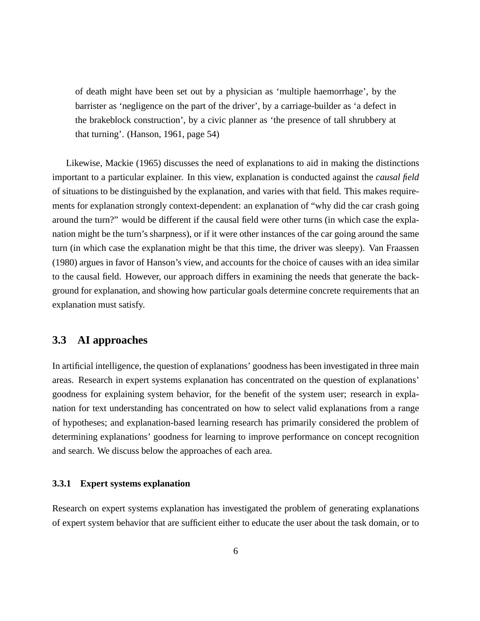of death might have been set out by a physician as 'multiple haemorrhage', by the barrister as 'negligence on the part of the driver', by a carriage-builder as 'a defect in the brakeblock construction', by a civic planner as 'the presence of tall shrubbery at that turning'. (Hanson, 1961, page 54)

Likewise, Mackie (1965) discusses the need of explanations to aid in making the distinctions important to a particular explainer. In this view, explanation is conducted against the *causal field* of situations to be distinguished by the explanation, and varies with that field. This makes requirements for explanation strongly context-dependent: an explanation of "why did the car crash going around the turn?" would be different if the causal field were other turns (in which case the explanation might be the turn's sharpness), or if it were other instances of the car going around the same turn (in which case the explanation might be that this time, the driver was sleepy). Van Fraassen (1980) argues in favor of Hanson's view, and accounts for the choice of causes with an idea similar to the causal field. However, our approach differs in examining the needs that generate the background for explanation, and showing how particular goals determine concrete requirements that an explanation must satisfy.

## **3.3 AI approaches**

In artificial intelligence, the question of explanations' goodness has been investigated in three main areas. Research in expert systems explanation has concentrated on the question of explanations' goodness for explaining system behavior, for the benefit of the system user; research in explanation for text understanding has concentrated on how to select valid explanations from a range of hypotheses; and explanation-based learning research has primarily considered the problem of determining explanations' goodness for learning to improve performance on concept recognition and search. We discuss below the approaches of each area.

#### **3.3.1 Expert systems explanation**

Research on expert systems explanation has investigated the problem of generating explanations of expert system behavior that are sufficient either to educate the user about the task domain, or to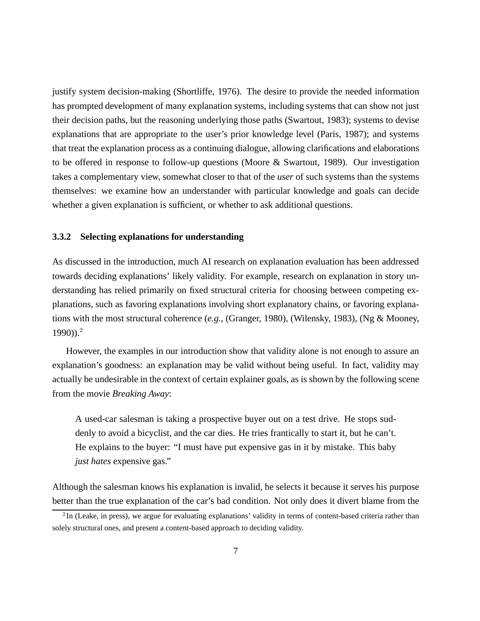justify system decision-making (Shortliffe, 1976). The desire to provide the needed information has prompted development of many explanation systems, including systems that can show not just their decision paths, but the reasoning underlying those paths (Swartout, 1983); systems to devise explanations that are appropriate to the user's prior knowledge level (Paris, 1987); and systems that treat the explanation process as a continuing dialogue, allowing clarifications and elaborations to be offered in response to follow-up questions (Moore & Swartout, 1989). Our investigation takes a complementary view, somewhat closer to that of the *user* of such systems than the systems themselves: we examine how an understander with particular knowledge and goals can decide whether a given explanation is sufficient, or whether to ask additional questions.

#### **3.3.2 Selecting explanations for understanding**

As discussed in the introduction, much AI research on explanation evaluation has been addressed towards deciding explanations' likely validity. For example, research on explanation in story understanding has relied primarily on fixed structural criteria for choosing between competing explanations, such as favoring explanations involving short explanatory chains, or favoring explanations with the most structural coherence (*e.g.*, (Granger, 1980), (Wilensky, 1983), (Ng & Mooney,  $1990)$ ).<sup>2</sup>

However, the examples in our introduction show that validity alone is not enough to assure an explanation's goodness: an explanation may be valid without being useful. In fact, validity may actually be undesirable in the context of certain explainer goals, as is shown by the following scene from the movie *Breaking Away*:

A used-car salesman is taking a prospective buyer out on a test drive. He stops suddenly to avoid a bicyclist, and the car dies. He tries frantically to start it, but he can't. He explains to the buyer: "I must have put expensive gas in it by mistake. This baby *just hates* expensive gas."

Although the salesman knows his explanation is invalid, he selects it because it serves his purpose better than the true explanation of the car's bad condition. Not only does it divert blame from the

<sup>2</sup> In (Leake, in press), we argue for evaluating explanations' validity in terms of content-based criteria rather than solely structural ones, and present a content-based approach to deciding validity.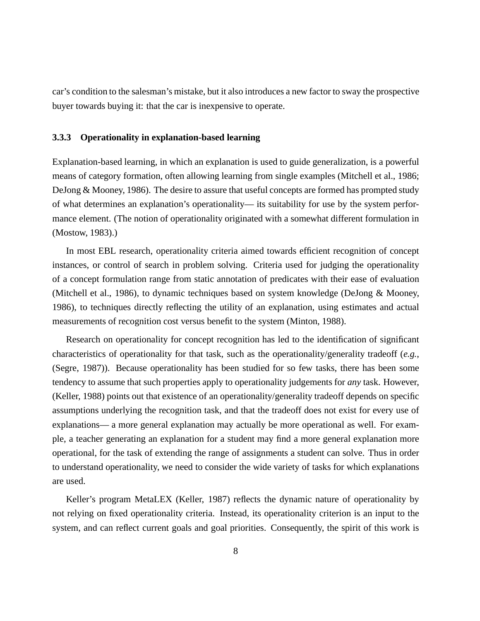car's condition to the salesman's mistake, but it also introduces a new factor to sway the prospective buyer towards buying it: that the car is inexpensive to operate.

#### **3.3.3 Operationality in explanation-based learning**

Explanation-based learning, in which an explanation is used to guide generalization, is a powerful means of category formation, often allowing learning from single examples (Mitchell et al., 1986; DeJong & Mooney, 1986). The desire to assure that useful concepts are formed has prompted study of what determines an explanation's operationality— its suitability for use by the system performance element. (The notion of operationality originated with a somewhat different formulation in (Mostow, 1983).)

In most EBL research, operationality criteria aimed towards efficient recognition of concept instances, or control of search in problem solving. Criteria used for judging the operationality of a concept formulation range from static annotation of predicates with their ease of evaluation (Mitchell et al., 1986), to dynamic techniques based on system knowledge (DeJong & Mooney, 1986), to techniques directly reflecting the utility of an explanation, using estimates and actual measurements of recognition cost versus benefit to the system (Minton, 1988).

Research on operationality for concept recognition has led to the identification of significant characteristics of operationality for that task, such as the operationality/generality tradeoff (*e.g.*, (Segre, 1987)). Because operationality has been studied for so few tasks, there has been some tendency to assume that such properties apply to operationality judgements for *any* task. However, (Keller, 1988) points out that existence of an operationality/generality tradeoff depends on specific assumptions underlying the recognition task, and that the tradeoff does not exist for every use of explanations— a more general explanation may actually be more operational as well. For example, a teacher generating an explanation for a student may find a more general explanation more operational, for the task of extending the range of assignments a student can solve. Thus in order to understand operationality, we need to consider the wide variety of tasks for which explanations are used.

Keller's program MetaLEX (Keller, 1987) reflects the dynamic nature of operationality by not relying on fixed operationality criteria. Instead, its operationality criterion is an input to the system, and can reflect current goals and goal priorities. Consequently, the spirit of this work is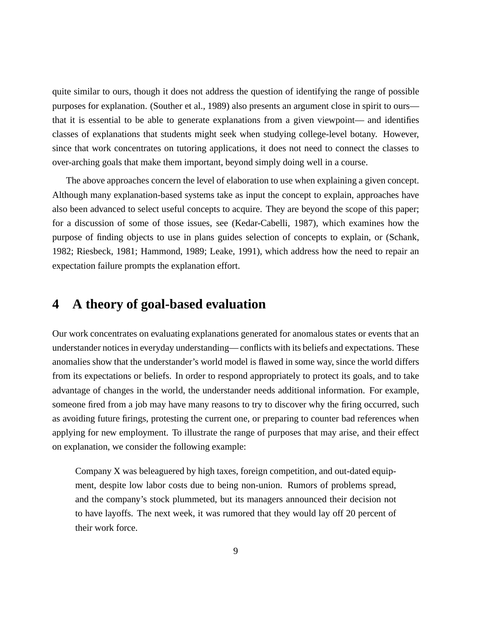quite similar to ours, though it does not address the question of identifying the range of possible purposes for explanation. (Souther et al., 1989) also presents an argument close in spirit to ours that it is essential to be able to generate explanations from a given viewpoint— and identifies classes of explanations that students might seek when studying college-level botany. However, since that work concentrates on tutoring applications, it does not need to connect the classes to over-arching goals that make them important, beyond simply doing well in a course.

The above approaches concern the level of elaboration to use when explaining a given concept. Although many explanation-based systems take as input the concept to explain, approaches have also been advanced to select useful concepts to acquire. They are beyond the scope of this paper; for a discussion of some of those issues, see (Kedar-Cabelli, 1987), which examines how the purpose of finding objects to use in plans guides selection of concepts to explain, or (Schank, 1982; Riesbeck, 1981; Hammond, 1989; Leake, 1991), which address how the need to repair an expectation failure prompts the explanation effort.

# **4 A theory of goal-based evaluation**

Our work concentrates on evaluating explanations generated for anomalous states or events that an understander notices in everyday understanding— conflicts with its beliefs and expectations. These anomalies show that the understander's world model is flawed in some way, since the world differs from its expectations or beliefs. In order to respond appropriately to protect its goals, and to take advantage of changes in the world, the understander needs additional information. For example, someone fired from a job may have many reasons to try to discover why the firing occurred, such as avoiding future firings, protesting the current one, or preparing to counter bad references when applying for new employment. To illustrate the range of purposes that may arise, and their effect on explanation, we consider the following example:

Company X was beleaguered by high taxes, foreign competition, and out-dated equipment, despite low labor costs due to being non-union. Rumors of problems spread, and the company's stock plummeted, but its managers announced their decision not to have layoffs. The next week, it was rumored that they would lay off 20 percent of their work force.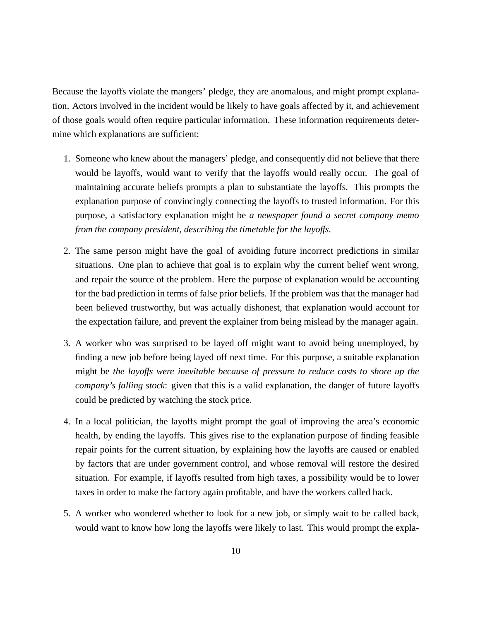Because the layoffs violate the mangers' pledge, they are anomalous, and might prompt explanation. Actors involved in the incident would be likely to have goals affected by it, and achievement of those goals would often require particular information. These information requirements determine which explanations are sufficient:

- 1. Someone who knew about the managers' pledge, and consequently did not believe that there would be layoffs, would want to verify that the layoffs would really occur. The goal of maintaining accurate beliefs prompts a plan to substantiate the layoffs. This prompts the explanation purpose of convincingly connecting the layoffs to trusted information. For this purpose, a satisfactory explanation might be *a newspaper found a secret company memo from the company president, describing the timetable for the layoffs.*
- 2. The same person might have the goal of avoiding future incorrect predictions in similar situations. One plan to achieve that goal is to explain why the current belief went wrong, and repair the source of the problem. Here the purpose of explanation would be accounting for the bad prediction in terms of false prior beliefs. If the problem was that the manager had been believed trustworthy, but was actually dishonest, that explanation would account for the expectation failure, and prevent the explainer from being mislead by the manager again.
- 3. A worker who was surprised to be layed off might want to avoid being unemployed, by finding a new job before being layed off next time. For this purpose, a suitable explanation might be *the layoffs were inevitable because of pressure to reduce costs to shore up the company's falling stock*: given that this is a valid explanation, the danger of future layoffs could be predicted by watching the stock price.
- 4. In a local politician, the layoffs might prompt the goal of improving the area's economic health, by ending the layoffs. This gives rise to the explanation purpose of finding feasible repair points for the current situation, by explaining how the layoffs are caused or enabled by factors that are under government control, and whose removal will restore the desired situation. For example, if layoffs resulted from high taxes, a possibility would be to lower taxes in order to make the factory again profitable, and have the workers called back.
- 5. A worker who wondered whether to look for a new job, or simply wait to be called back, would want to know how long the layoffs were likely to last. This would prompt the expla-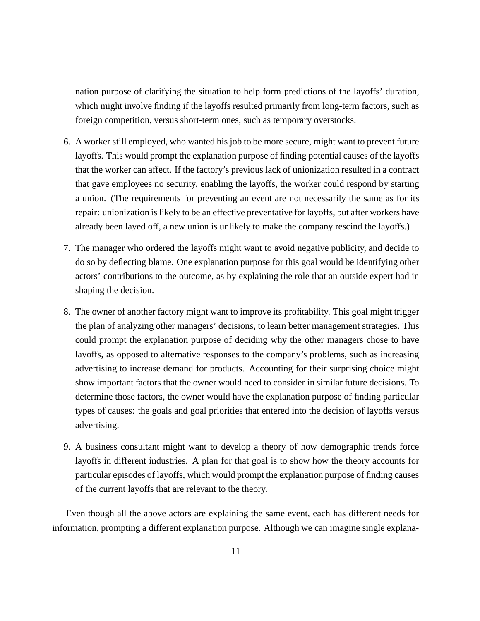nation purpose of clarifying the situation to help form predictions of the layoffs' duration, which might involve finding if the layoffs resulted primarily from long-term factors, such as foreign competition, versus short-term ones, such as temporary overstocks.

- 6. A worker still employed, who wanted his job to be more secure, might want to prevent future layoffs. This would prompt the explanation purpose of finding potential causes of the layoffs that the worker can affect. If the factory's previous lack of unionization resulted in a contract that gave employees no security, enabling the layoffs, the worker could respond by starting a union. (The requirements for preventing an event are not necessarily the same as for its repair: unionization is likely to be an effective preventative for layoffs, but after workers have already been layed off, a new union is unlikely to make the company rescind the layoffs.)
- 7. The manager who ordered the layoffs might want to avoid negative publicity, and decide to do so by deflecting blame. One explanation purpose for this goal would be identifying other actors' contributions to the outcome, as by explaining the role that an outside expert had in shaping the decision.
- 8. The owner of another factory might want to improve its profitability. This goal might trigger the plan of analyzing other managers' decisions, to learn better management strategies. This could prompt the explanation purpose of deciding why the other managers chose to have layoffs, as opposed to alternative responses to the company's problems, such as increasing advertising to increase demand for products. Accounting for their surprising choice might show important factors that the owner would need to consider in similar future decisions. To determine those factors, the owner would have the explanation purpose of finding particular types of causes: the goals and goal priorities that entered into the decision of layoffs versus advertising.
- 9. A business consultant might want to develop a theory of how demographic trends force layoffs in different industries. A plan for that goal is to show how the theory accounts for particular episodes of layoffs, which would prompt the explanation purpose of finding causes of the current layoffs that are relevant to the theory.

Even though all the above actors are explaining the same event, each has different needs for information, prompting a different explanation purpose. Although we can imagine single explana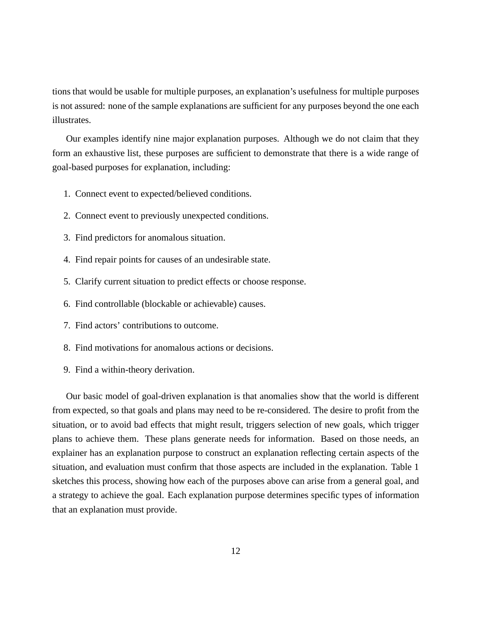tions that would be usable for multiple purposes, an explanation's usefulness for multiple purposes is not assured: none of the sample explanations are sufficient for any purposes beyond the one each illustrates.

Our examples identify nine major explanation purposes. Although we do not claim that they form an exhaustive list, these purposes are sufficient to demonstrate that there is a wide range of goal-based purposes for explanation, including:

- 1. Connect event to expected/believed conditions.
- 2. Connect event to previously unexpected conditions.
- 3. Find predictors for anomalous situation.
- 4. Find repair points for causes of an undesirable state.
- 5. Clarify current situation to predict effects or choose response.
- 6. Find controllable (blockable or achievable) causes.
- 7. Find actors' contributions to outcome.
- 8. Find motivations for anomalous actions or decisions.
- 9. Find a within-theory derivation.

Our basic model of goal-driven explanation is that anomalies show that the world is different from expected, so that goals and plans may need to be re-considered. The desire to profit from the situation, or to avoid bad effects that might result, triggers selection of new goals, which trigger plans to achieve them. These plans generate needs for information. Based on those needs, an explainer has an explanation purpose to construct an explanation reflecting certain aspects of the situation, and evaluation must confirm that those aspects are included in the explanation. Table 1 sketches this process, showing how each of the purposes above can arise from a general goal, and a strategy to achieve the goal. Each explanation purpose determines specific types of information that an explanation must provide.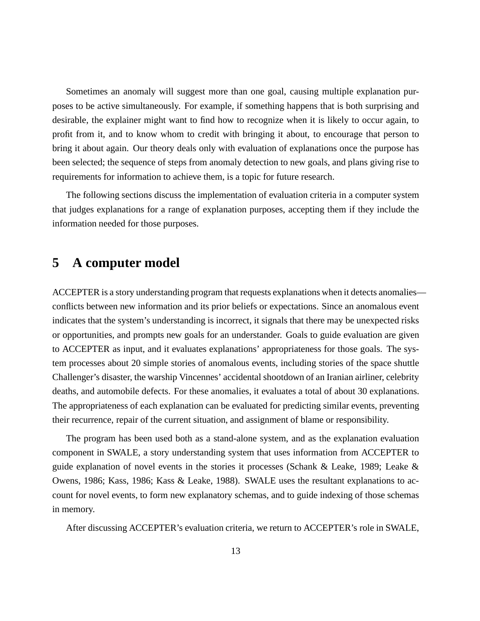Sometimes an anomaly will suggest more than one goal, causing multiple explanation purposes to be active simultaneously. For example, if something happens that is both surprising and desirable, the explainer might want to find how to recognize when it is likely to occur again, to profit from it, and to know whom to credit with bringing it about, to encourage that person to bring it about again. Our theory deals only with evaluation of explanations once the purpose has been selected; the sequence of steps from anomaly detection to new goals, and plans giving rise to requirements for information to achieve them, is a topic for future research.

The following sections discuss the implementation of evaluation criteria in a computer system that judges explanations for a range of explanation purposes, accepting them if they include the information needed for those purposes.

## **5 A computer model**

ACCEPTER is a story understanding program that requests explanations when it detects anomalies conflicts between new information and its prior beliefs or expectations. Since an anomalous event indicates that the system's understanding is incorrect, it signals that there may be unexpected risks or opportunities, and prompts new goals for an understander. Goals to guide evaluation are given to ACCEPTER as input, and it evaluates explanations' appropriateness for those goals. The system processes about 20 simple stories of anomalous events, including stories of the space shuttle Challenger's disaster, the warship Vincennes' accidental shootdown of an Iranian airliner, celebrity deaths, and automobile defects. For these anomalies, it evaluates a total of about 30 explanations. The appropriateness of each explanation can be evaluated for predicting similar events, preventing their recurrence, repair of the current situation, and assignment of blame or responsibility.

The program has been used both as a stand-alone system, and as the explanation evaluation component in SWALE, a story understanding system that uses information from ACCEPTER to guide explanation of novel events in the stories it processes (Schank & Leake, 1989; Leake & Owens, 1986; Kass, 1986; Kass & Leake, 1988). SWALE uses the resultant explanations to account for novel events, to form new explanatory schemas, and to guide indexing of those schemas in memory.

After discussing ACCEPTER's evaluation criteria, we return to ACCEPTER's role in SWALE,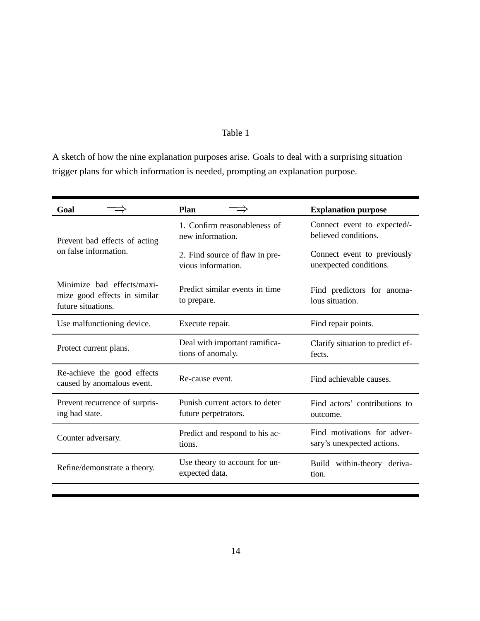## Table 1

A sketch of how the nine explanation purposes arise. Goals to deal with a surprising situation trigger plans for which information is needed, prompting an explanation purpose.

| Goal                                                                             | Plan                                                   | <b>Explanation purpose</b>                                |
|----------------------------------------------------------------------------------|--------------------------------------------------------|-----------------------------------------------------------|
| Prevent bad effects of acting<br>on false information.                           | 1. Confirm reasonableness of<br>new information.       | Connect event to expected/-<br>believed conditions.       |
|                                                                                  | 2. Find source of flaw in pre-<br>vious information.   | Connect event to previously<br>unexpected conditions.     |
| Minimize bad effects/maxi-<br>mize good effects in similar<br>future situations. | Predict similar events in time<br>to prepare.          | Find predictors for anoma-<br>lous situation.             |
| Use malfunctioning device.                                                       | Execute repair.                                        | Find repair points.                                       |
| Protect current plans.                                                           | Deal with important ramifica-<br>tions of anomaly.     | Clarify situation to predict ef-<br>fects.                |
| Re-achieve the good effects<br>caused by anomalous event.                        | Re-cause event.                                        | Find achievable causes.                                   |
| Prevent recurrence of surpris-<br>ing bad state.                                 | Punish current actors to deter<br>future perpetrators. | Find actors' contributions to<br>outcome.                 |
| Counter adversary.                                                               | Predict and respond to his ac-<br>tions.               | Find motivations for adver-<br>sary's unexpected actions. |
| Refine/demonstrate a theory.                                                     | Use theory to account for un-<br>expected data.        | Build within-theory deriva-<br>tion.                      |
|                                                                                  |                                                        |                                                           |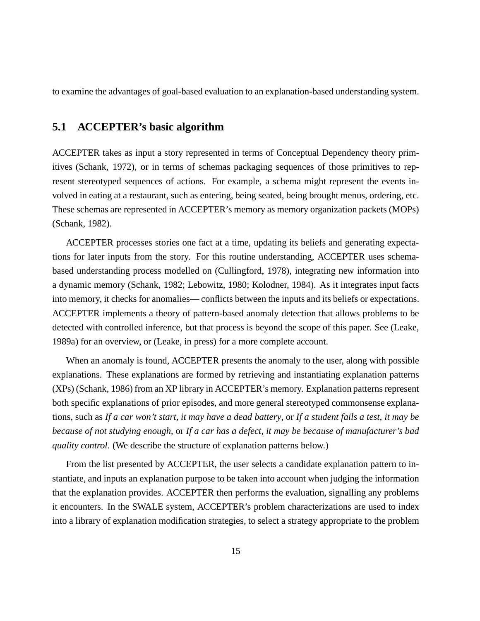to examine the advantages of goal-based evaluation to an explanation-based understanding system.

## **5.1 ACCEPTER's basic algorithm**

ACCEPTER takes as input a story represented in terms of Conceptual Dependency theory primitives (Schank, 1972), or in terms of schemas packaging sequences of those primitives to represent stereotyped sequences of actions. For example, a schema might represent the events involved in eating at a restaurant, such as entering, being seated, being brought menus, ordering, etc. These schemas are represented in ACCEPTER's memory as memory organization packets (MOPs) (Schank, 1982).

ACCEPTER processes stories one fact at a time, updating its beliefs and generating expectations for later inputs from the story. For this routine understanding, ACCEPTER uses schemabased understanding process modelled on (Cullingford, 1978), integrating new information into a dynamic memory (Schank, 1982; Lebowitz, 1980; Kolodner, 1984). As it integrates input facts into memory, it checks for anomalies— conflicts between the inputs and its beliefs or expectations. ACCEPTER implements a theory of pattern-based anomaly detection that allows problems to be detected with controlled inference, but that process is beyond the scope of this paper. See (Leake, 1989a) for an overview, or (Leake, in press) for a more complete account.

When an anomaly is found, ACCEPTER presents the anomaly to the user, along with possible explanations. These explanations are formed by retrieving and instantiating explanation patterns (XPs) (Schank, 1986) from an XP library in ACCEPTER's memory. Explanation patterns represent both specific explanations of prior episodes, and more general stereotyped commonsense explanations, such as *If a car won't start, it may have a dead battery*, or *If a student fails a test, it may be because of not studying enough*, or *If a car has a defect, it may be because of manufacturer's bad quality control*. (We describe the structure of explanation patterns below.)

From the list presented by ACCEPTER, the user selects a candidate explanation pattern to instantiate, and inputs an explanation purpose to be taken into account when judging the information that the explanation provides. ACCEPTER then performs the evaluation, signalling any problems it encounters. In the SWALE system, ACCEPTER's problem characterizations are used to index into a library of explanation modification strategies, to select a strategy appropriate to the problem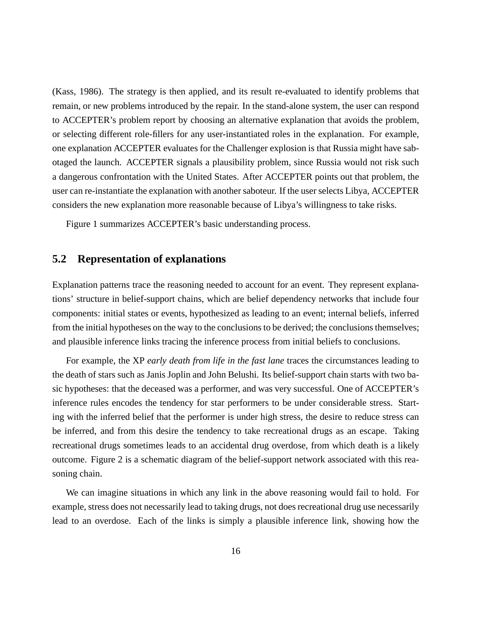(Kass, 1986). The strategy is then applied, and its result re-evaluated to identify problems that remain, or new problems introduced by the repair. In the stand-alone system, the user can respond to ACCEPTER's problem report by choosing an alternative explanation that avoids the problem, or selecting different role-fillers for any user-instantiated roles in the explanation. For example, one explanation ACCEPTER evaluates for the Challenger explosion is that Russia might have sabotaged the launch. ACCEPTER signals a plausibility problem, since Russia would not risk such a dangerous confrontation with the United States. After ACCEPTER points out that problem, the user can re-instantiate the explanation with another saboteur. If the user selects Libya, ACCEPTER considers the new explanation more reasonable because of Libya's willingness to take risks.

Figure 1 summarizes ACCEPTER's basic understanding process.

## **5.2 Representation of explanations**

Explanation patterns trace the reasoning needed to account for an event. They represent explanations' structure in belief-support chains, which are belief dependency networks that include four components: initial states or events, hypothesized as leading to an event; internal beliefs, inferred from the initial hypotheses on the way to the conclusions to be derived; the conclusions themselves; and plausible inference links tracing the inference process from initial beliefs to conclusions.

For example, the XP *early death from life in the fast lane* traces the circumstances leading to the death of stars such as Janis Joplin and John Belushi. Its belief-support chain starts with two basic hypotheses: that the deceased was a performer, and was very successful. One of ACCEPTER's inference rules encodes the tendency for star performers to be under considerable stress. Starting with the inferred belief that the performer is under high stress, the desire to reduce stress can be inferred, and from this desire the tendency to take recreational drugs as an escape. Taking recreational drugs sometimes leads to an accidental drug overdose, from which death is a likely outcome. Figure 2 is a schematic diagram of the belief-support network associated with this reasoning chain.

We can imagine situations in which any link in the above reasoning would fail to hold. For example, stress does not necessarily lead to taking drugs, not does recreational drug use necessarily lead to an overdose. Each of the links is simply a plausible inference link, showing how the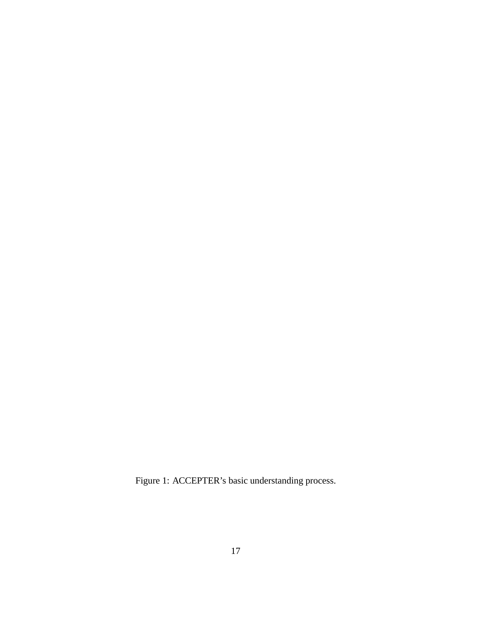Figure 1: ACCEPTER's basic understanding process.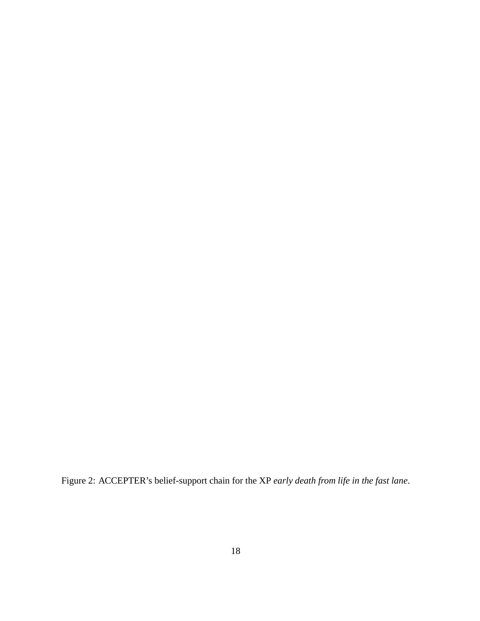Figure 2: ACCEPTER's belief-support chain for the XP *early death from life in the fast lane*.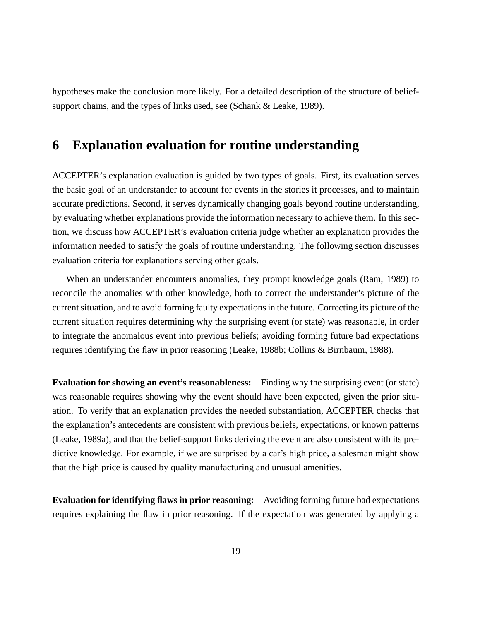hypotheses make the conclusion more likely. For a detailed description of the structure of beliefsupport chains, and the types of links used, see (Schank & Leake, 1989).

# **6 Explanation evaluation for routine understanding**

ACCEPTER's explanation evaluation is guided by two types of goals. First, its evaluation serves the basic goal of an understander to account for events in the stories it processes, and to maintain accurate predictions. Second, it serves dynamically changing goals beyond routine understanding, by evaluating whether explanations provide the information necessary to achieve them. In this section, we discuss how ACCEPTER's evaluation criteria judge whether an explanation provides the information needed to satisfy the goals of routine understanding. The following section discusses evaluation criteria for explanations serving other goals.

When an understander encounters anomalies, they prompt knowledge goals (Ram, 1989) to reconcile the anomalies with other knowledge, both to correct the understander's picture of the current situation, and to avoid forming faulty expectations in the future. Correcting its picture of the current situation requires determining why the surprising event (or state) was reasonable, in order to integrate the anomalous event into previous beliefs; avoiding forming future bad expectations requires identifying the flaw in prior reasoning (Leake, 1988b; Collins & Birnbaum, 1988).

**Evaluation for showing an event's reasonableness:** Finding why the surprising event (or state) was reasonable requires showing why the event should have been expected, given the prior situation. To verify that an explanation provides the needed substantiation, ACCEPTER checks that the explanation's antecedents are consistent with previous beliefs, expectations, or known patterns (Leake, 1989a), and that the belief-support links deriving the event are also consistent with its predictive knowledge. For example, if we are surprised by a car's high price, a salesman might show that the high price is caused by quality manufacturing and unusual amenities.

**Evaluation for identifying flaws in prior reasoning:** Avoiding forming future bad expectations requires explaining the flaw in prior reasoning. If the expectation was generated by applying a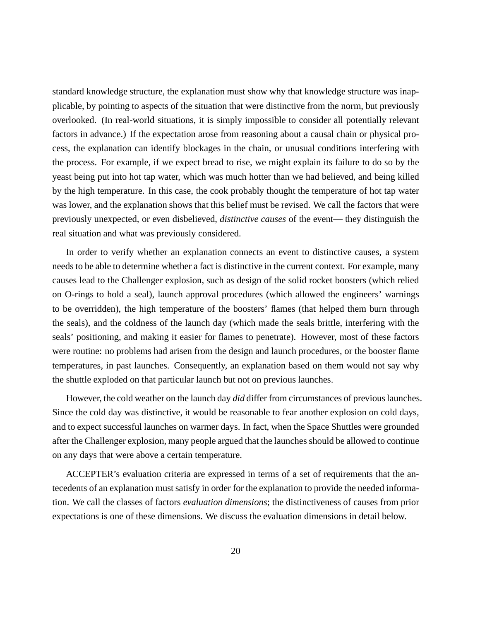standard knowledge structure, the explanation must show why that knowledge structure was inapplicable, by pointing to aspects of the situation that were distinctive from the norm, but previously overlooked. (In real-world situations, it is simply impossible to consider all potentially relevant factors in advance.) If the expectation arose from reasoning about a causal chain or physical process, the explanation can identify blockages in the chain, or unusual conditions interfering with the process. For example, if we expect bread to rise, we might explain its failure to do so by the yeast being put into hot tap water, which was much hotter than we had believed, and being killed by the high temperature. In this case, the cook probably thought the temperature of hot tap water was lower, and the explanation shows that this belief must be revised. We call the factors that were previously unexpected, or even disbelieved, *distinctive causes* of the event— they distinguish the real situation and what was previously considered.

In order to verify whether an explanation connects an event to distinctive causes, a system needs to be able to determine whether a fact is distinctive in the current context. For example, many causes lead to the Challenger explosion, such as design of the solid rocket boosters (which relied on O-rings to hold a seal), launch approval procedures (which allowed the engineers' warnings to be overridden), the high temperature of the boosters' flames (that helped them burn through the seals), and the coldness of the launch day (which made the seals brittle, interfering with the seals' positioning, and making it easier for flames to penetrate). However, most of these factors were routine: no problems had arisen from the design and launch procedures, or the booster flame temperatures, in past launches. Consequently, an explanation based on them would not say why the shuttle exploded on that particular launch but not on previous launches.

However, the cold weather on the launch day *did* differ from circumstances of previous launches. Since the cold day was distinctive, it would be reasonable to fear another explosion on cold days, and to expect successful launches on warmer days. In fact, when the Space Shuttles were grounded after the Challenger explosion, many people argued that the launches should be allowed to continue on any days that were above a certain temperature.

ACCEPTER's evaluation criteria are expressed in terms of a set of requirements that the antecedents of an explanation must satisfy in order for the explanation to provide the needed information. We call the classes of factors *evaluation dimensions*; the distinctiveness of causes from prior expectations is one of these dimensions. We discuss the evaluation dimensions in detail below.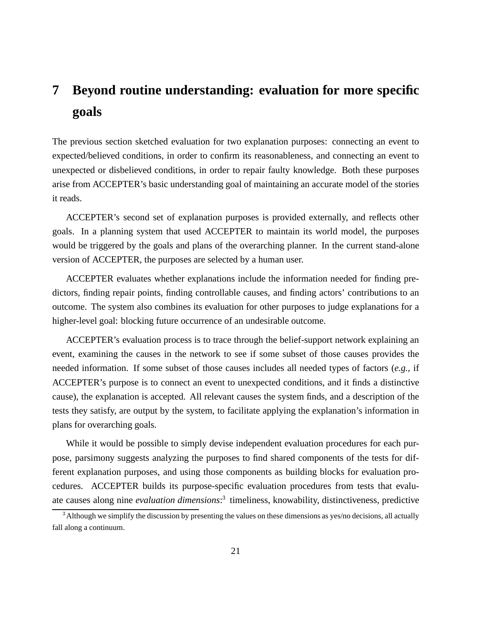# **7 Beyond routine understanding: evaluation for more specific goals**

The previous section sketched evaluation for two explanation purposes: connecting an event to expected/believed conditions, in order to confirm its reasonableness, and connecting an event to unexpected or disbelieved conditions, in order to repair faulty knowledge. Both these purposes arise from ACCEPTER's basic understanding goal of maintaining an accurate model of the stories it reads.

ACCEPTER's second set of explanation purposes is provided externally, and reflects other goals. In a planning system that used ACCEPTER to maintain its world model, the purposes would be triggered by the goals and plans of the overarching planner. In the current stand-alone version of ACCEPTER, the purposes are selected by a human user.

ACCEPTER evaluates whether explanations include the information needed for finding predictors, finding repair points, finding controllable causes, and finding actors' contributions to an outcome. The system also combines its evaluation for other purposes to judge explanations for a higher-level goal: blocking future occurrence of an undesirable outcome.

ACCEPTER's evaluation process is to trace through the belief-support network explaining an event, examining the causes in the network to see if some subset of those causes provides the needed information. If some subset of those causes includes all needed types of factors (*e.g.*, if ACCEPTER's purpose is to connect an event to unexpected conditions, and it finds a distinctive cause), the explanation is accepted. All relevant causes the system finds, and a description of the tests they satisfy, are output by the system, to facilitate applying the explanation's information in plans for overarching goals.

While it would be possible to simply devise independent evaluation procedures for each purpose, parsimony suggests analyzing the purposes to find shared components of the tests for different explanation purposes, and using those components as building blocks for evaluation procedures. ACCEPTER builds its purpose-specific evaluation procedures from tests that evaluate causes along nine *evaluation dimensions*:<sup>3</sup> timeliness, knowability, distinctiveness, predictive

<sup>3</sup> Although we simplify the discussion by presenting the values on these dimensions as yes/no decisions, all actually fall along a continuum.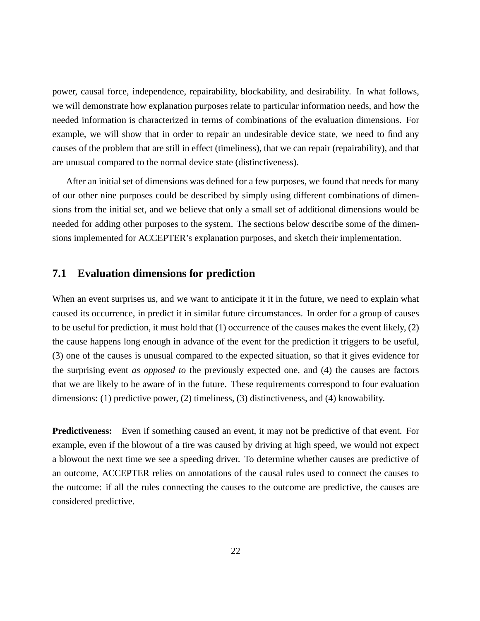power, causal force, independence, repairability, blockability, and desirability. In what follows, we will demonstrate how explanation purposes relate to particular information needs, and how the needed information is characterized in terms of combinations of the evaluation dimensions. For example, we will show that in order to repair an undesirable device state, we need to find any causes of the problem that are still in effect (timeliness), that we can repair (repairability), and that are unusual compared to the normal device state (distinctiveness).

After an initial set of dimensions was defined for a few purposes, we found that needs for many of our other nine purposes could be described by simply using different combinations of dimensions from the initial set, and we believe that only a small set of additional dimensions would be needed for adding other purposes to the system. The sections below describe some of the dimensions implemented for ACCEPTER's explanation purposes, and sketch their implementation.

## **7.1 Evaluation dimensions for prediction**

When an event surprises us, and we want to anticipate it it in the future, we need to explain what caused its occurrence, in predict it in similar future circumstances. In order for a group of causes to be useful for prediction, it must hold that (1) occurrence of the causes makes the event likely, (2) the cause happens long enough in advance of the event for the prediction it triggers to be useful, (3) one of the causes is unusual compared to the expected situation, so that it gives evidence for the surprising event *as opposed to* the previously expected one, and (4) the causes are factors that we are likely to be aware of in the future. These requirements correspond to four evaluation dimensions: (1) predictive power, (2) timeliness, (3) distinctiveness, and (4) knowability.

**Predictiveness:** Even if something caused an event, it may not be predictive of that event. For example, even if the blowout of a tire was caused by driving at high speed, we would not expect a blowout the next time we see a speeding driver. To determine whether causes are predictive of an outcome, ACCEPTER relies on annotations of the causal rules used to connect the causes to the outcome: if all the rules connecting the causes to the outcome are predictive, the causes are considered predictive.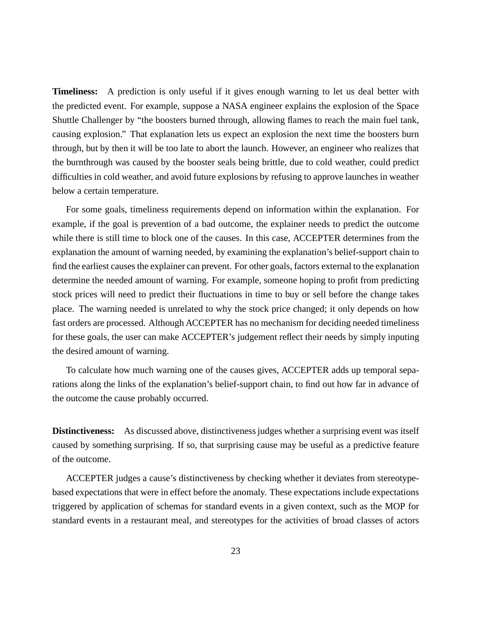**Timeliness:** A prediction is only useful if it gives enough warning to let us deal better with the predicted event. For example, suppose a NASA engineer explains the explosion of the Space Shuttle Challenger by "the boosters burned through, allowing flames to reach the main fuel tank, causing explosion." That explanation lets us expect an explosion the next time the boosters burn through, but by then it will be too late to abort the launch. However, an engineer who realizes that the burnthrough was caused by the booster seals being brittle, due to cold weather, could predict difficulties in cold weather, and avoid future explosions by refusing to approve launches in weather below a certain temperature.

For some goals, timeliness requirements depend on information within the explanation. For example, if the goal is prevention of a bad outcome, the explainer needs to predict the outcome while there is still time to block one of the causes. In this case, ACCEPTER determines from the explanation the amount of warning needed, by examining the explanation's belief-support chain to find the earliest causes the explainer can prevent. For other goals, factors external to the explanation determine the needed amount of warning. For example, someone hoping to profit from predicting stock prices will need to predict their fluctuations in time to buy or sell before the change takes place. The warning needed is unrelated to why the stock price changed; it only depends on how fast orders are processed. Although ACCEPTER has no mechanism for deciding needed timeliness for these goals, the user can make ACCEPTER's judgement reflect their needs by simply inputing the desired amount of warning.

To calculate how much warning one of the causes gives, ACCEPTER adds up temporal separations along the links of the explanation's belief-support chain, to find out how far in advance of the outcome the cause probably occurred.

**Distinctiveness:** As discussed above, distinctiveness judges whether a surprising event was itself caused by something surprising. If so, that surprising cause may be useful as a predictive feature of the outcome.

ACCEPTER judges a cause's distinctiveness by checking whether it deviates from stereotypebased expectations that were in effect before the anomaly. These expectations include expectations triggered by application of schemas for standard events in a given context, such as the MOP for standard events in a restaurant meal, and stereotypes for the activities of broad classes of actors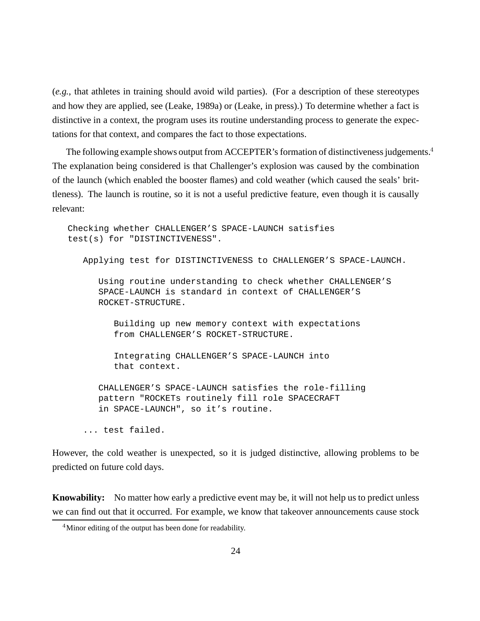(*e.g.*, that athletes in training should avoid wild parties). (For a description of these stereotypes and how they are applied, see (Leake, 1989a) or (Leake, in press).) To determine whether a fact is distinctive in a context, the program uses its routine understanding process to generate the expectations for that context, and compares the fact to those expectations.

The following example shows output from ACCEPTER's formation of distinctiveness judgements.<sup>4</sup> The explanation being considered is that Challenger's explosion was caused by the combination of the launch (which enabled the booster flames) and cold weather (which caused the seals' brittleness). The launch is routine, so it is not a useful predictive feature, even though it is causally relevant:

Checking whether CHALLENGER'S SPACE-LAUNCH satisfies test(s) for "DISTINCTIVENESS". Applying test for DISTINCTIVENESS to CHALLENGER'S SPACE-LAUNCH. Using routine understanding to check whether CHALLENGER'S SPACE-LAUNCH is standard in context of CHALLENGER'S ROCKET-STRUCTURE. Building up new memory context with expectations from CHALLENGER'S ROCKET-STRUCTURE. Integrating CHALLENGER'S SPACE-LAUNCH into that context. CHALLENGER'S SPACE-LAUNCH satisfies the role-filling pattern "ROCKETs routinely fill role SPACECRAFT in SPACE-LAUNCH", so it's routine. ... test failed.

However, the cold weather is unexpected, so it is judged distinctive, allowing problems to be predicted on future cold days.

**Knowability:** No matter how early a predictive event may be, it will not help us to predict unless we can find out that it occurred. For example, we know that takeover announcements cause stock

<sup>&</sup>lt;sup>4</sup>Minor editing of the output has been done for readability.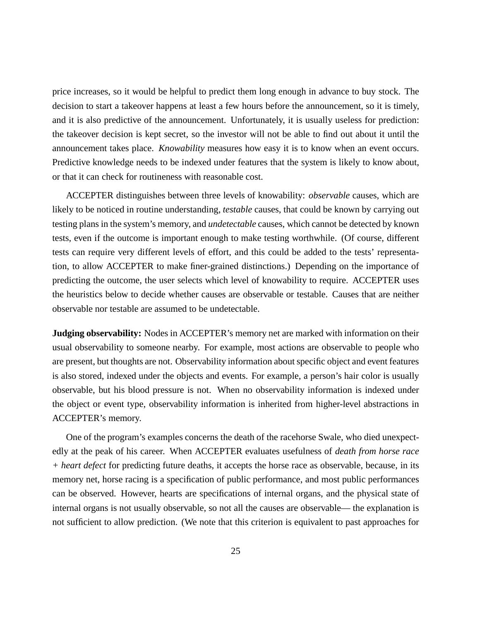price increases, so it would be helpful to predict them long enough in advance to buy stock. The decision to start a takeover happens at least a few hours before the announcement, so it is timely, and it is also predictive of the announcement. Unfortunately, it is usually useless for prediction: the takeover decision is kept secret, so the investor will not be able to find out about it until the announcement takes place. *Knowability* measures how easy it is to know when an event occurs. Predictive knowledge needs to be indexed under features that the system is likely to know about, or that it can check for routineness with reasonable cost.

ACCEPTER distinguishes between three levels of knowability: *observable* causes, which are likely to be noticed in routine understanding, *testable* causes, that could be known by carrying out testing plans in the system's memory, and *undetectable* causes, which cannot be detected by known tests, even if the outcome is important enough to make testing worthwhile. (Of course, different tests can require very different levels of effort, and this could be added to the tests' representation, to allow ACCEPTER to make finer-grained distinctions.) Depending on the importance of predicting the outcome, the user selects which level of knowability to require. ACCEPTER uses the heuristics below to decide whether causes are observable or testable. Causes that are neither observable nor testable are assumed to be undetectable.

**Judging observability:** Nodes in ACCEPTER's memory net are marked with information on their usual observability to someone nearby. For example, most actions are observable to people who are present, but thoughts are not. Observability information about specific object and event features is also stored, indexed under the objects and events. For example, a person's hair color is usually observable, but his blood pressure is not. When no observability information is indexed under the object or event type, observability information is inherited from higher-level abstractions in ACCEPTER's memory.

One of the program's examples concerns the death of the racehorse Swale, who died unexpectedly at the peak of his career. When ACCEPTER evaluates usefulness of *death from horse race + heart defect* for predicting future deaths, it accepts the horse race as observable, because, in its memory net, horse racing is a specification of public performance, and most public performances can be observed. However, hearts are specifications of internal organs, and the physical state of internal organs is not usually observable, so not all the causes are observable— the explanation is not sufficient to allow prediction. (We note that this criterion is equivalent to past approaches for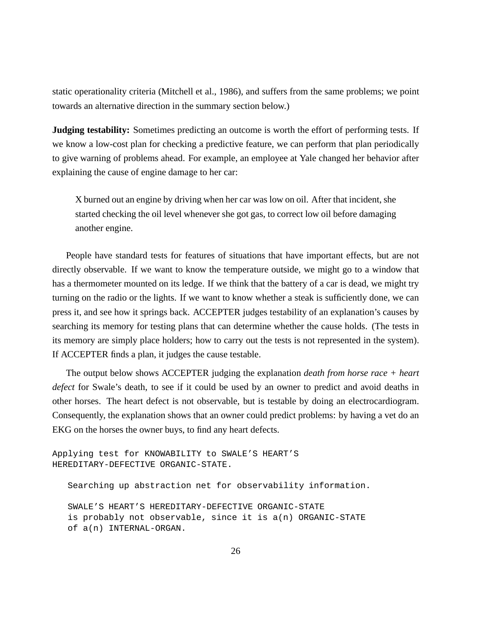static operationality criteria (Mitchell et al., 1986), and suffers from the same problems; we point towards an alternative direction in the summary section below.)

**Judging testability:** Sometimes predicting an outcome is worth the effort of performing tests. If we know a low-cost plan for checking a predictive feature, we can perform that plan periodically to give warning of problems ahead. For example, an employee at Yale changed her behavior after explaining the cause of engine damage to her car:

X burned out an engine by driving when her car was low on oil. After that incident, she started checking the oil level whenever she got gas, to correct low oil before damaging another engine.

People have standard tests for features of situations that have important effects, but are not directly observable. If we want to know the temperature outside, we might go to a window that has a thermometer mounted on its ledge. If we think that the battery of a car is dead, we might try turning on the radio or the lights. If we want to know whether a steak is sufficiently done, we can press it, and see how it springs back. ACCEPTER judges testability of an explanation's causes by searching its memory for testing plans that can determine whether the cause holds. (The tests in its memory are simply place holders; how to carry out the tests is not represented in the system). If ACCEPTER finds a plan, it judges the cause testable.

The output below shows ACCEPTER judging the explanation *death from horse race + heart defect* for Swale's death, to see if it could be used by an owner to predict and avoid deaths in other horses. The heart defect is not observable, but is testable by doing an electrocardiogram. Consequently, the explanation shows that an owner could predict problems: by having a vet do an EKG on the horses the owner buys, to find any heart defects.

```
Applying test for KNOWABILITY to SWALE'S HEART'S
HEREDITARY-DEFECTIVE ORGANIC-STATE.
```
Searching up abstraction net for observability information.

SWALE'S HEART'S HEREDITARY-DEFECTIVE ORGANIC-STATE is probably not observable, since it is a(n) ORGANIC-STATE of a(n) INTERNAL-ORGAN.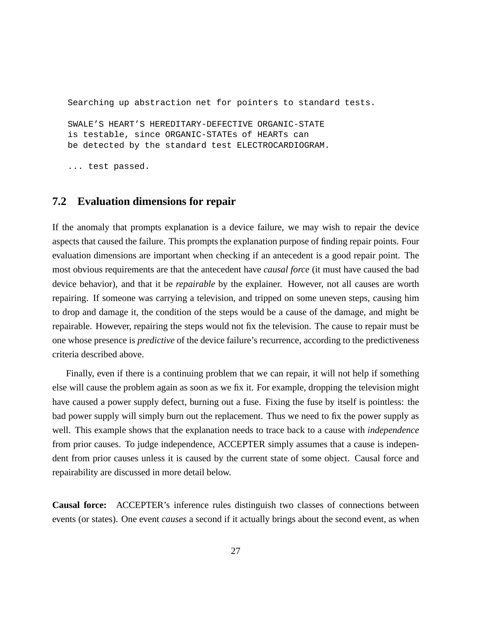Searching up abstraction net for pointers to standard tests.

SWALE'S HEART'S HEREDITARY-DEFECTIVE ORGANIC-STATE is testable, since ORGANIC-STATEs of HEARTs can be detected by the standard test ELECTROCARDIOGRAM.

... test passed.

## **7.2 Evaluation dimensions for repair**

If the anomaly that prompts explanation is a device failure, we may wish to repair the device aspects that caused the failure. This prompts the explanation purpose of finding repair points. Four evaluation dimensions are important when checking if an antecedent is a good repair point. The most obvious requirements are that the antecedent have *causal force* (it must have caused the bad device behavior), and that it be *repairable* by the explainer. However, not all causes are worth repairing. If someone was carrying a television, and tripped on some uneven steps, causing him to drop and damage it, the condition of the steps would be a cause of the damage, and might be repairable. However, repairing the steps would not fix the television. The cause to repair must be one whose presence is *predictive* of the device failure's recurrence, according to the predictiveness criteria described above.

Finally, even if there is a continuing problem that we can repair, it will not help if something else will cause the problem again as soon as we fix it. For example, dropping the television might have caused a power supply defect, burning out a fuse. Fixing the fuse by itself is pointless: the bad power supply will simply burn out the replacement. Thus we need to fix the power supply as well. This example shows that the explanation needs to trace back to a cause with *independence* from prior causes. To judge independence, ACCEPTER simply assumes that a cause is independent from prior causes unless it is caused by the current state of some object. Causal force and repairability are discussed in more detail below.

**Causal force:** ACCEPTER's inference rules distinguish two classes of connections between events (or states). One event *causes* a second if it actually brings about the second event, as when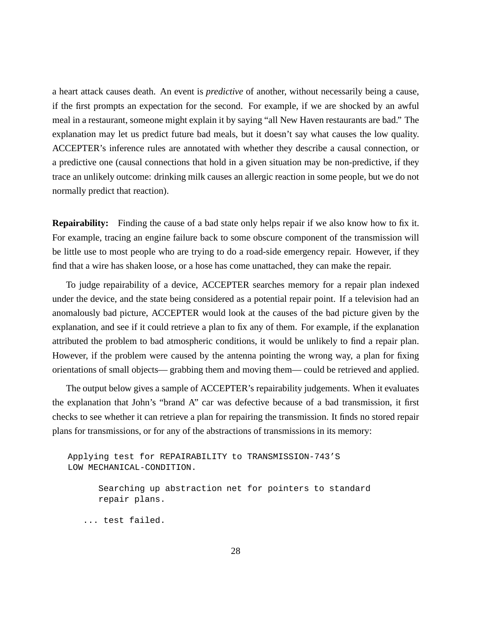a heart attack causes death. An event is *predictive* of another, without necessarily being a cause, if the first prompts an expectation for the second. For example, if we are shocked by an awful meal in a restaurant, someone might explain it by saying "all New Haven restaurants are bad." The explanation may let us predict future bad meals, but it doesn't say what causes the low quality. ACCEPTER's inference rules are annotated with whether they describe a causal connection, or a predictive one (causal connections that hold in a given situation may be non-predictive, if they trace an unlikely outcome: drinking milk causes an allergic reaction in some people, but we do not normally predict that reaction).

**Repairability:** Finding the cause of a bad state only helps repair if we also know how to fix it. For example, tracing an engine failure back to some obscure component of the transmission will be little use to most people who are trying to do a road-side emergency repair. However, if they find that a wire has shaken loose, or a hose has come unattached, they can make the repair.

To judge repairability of a device, ACCEPTER searches memory for a repair plan indexed under the device, and the state being considered as a potential repair point. If a television had an anomalously bad picture, ACCEPTER would look at the causes of the bad picture given by the explanation, and see if it could retrieve a plan to fix any of them. For example, if the explanation attributed the problem to bad atmospheric conditions, it would be unlikely to find a repair plan. However, if the problem were caused by the antenna pointing the wrong way, a plan for fixing orientations of small objects— grabbing them and moving them— could be retrieved and applied.

The output below gives a sample of ACCEPTER's repairability judgements. When it evaluates the explanation that John's "brand A" car was defective because of a bad transmission, it first checks to see whether it can retrieve a plan for repairing the transmission. It finds no stored repair plans for transmissions, or for any of the abstractions of transmissions in its memory:

Applying test for REPAIRABILITY to TRANSMISSION-743'S LOW MECHANICAL-CONDITION.

> Searching up abstraction net for pointers to standard repair plans.

... test failed.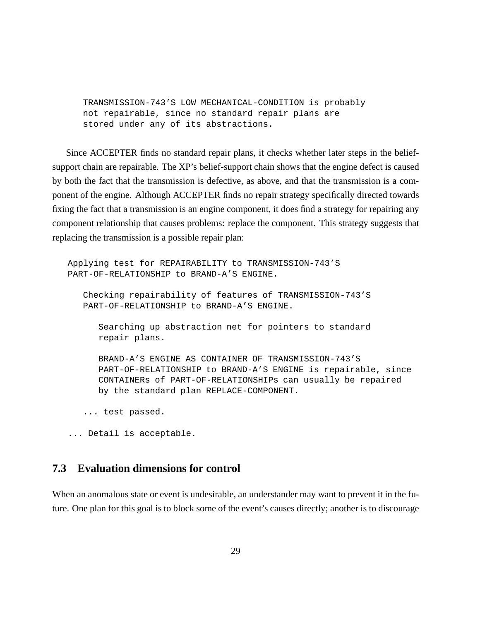TRANSMISSION-743'S LOW MECHANICAL-CONDITION is probably not repairable, since no standard repair plans are stored under any of its abstractions.

Since ACCEPTER finds no standard repair plans, it checks whether later steps in the beliefsupport chain are repairable. The XP's belief-support chain shows that the engine defect is caused by both the fact that the transmission is defective, as above, and that the transmission is a component of the engine. Although ACCEPTER finds no repair strategy specifically directed towards fixing the fact that a transmission is an engine component, it does find a strategy for repairing any component relationship that causes problems: replace the component. This strategy suggests that replacing the transmission is a possible repair plan:

Applying test for REPAIRABILITY to TRANSMISSION-743'S PART-OF-RELATIONSHIP to BRAND-A'S ENGINE. Checking repairability of features of TRANSMISSION-743'S PART-OF-RELATIONSHIP to BRAND-A'S ENGINE. Searching up abstraction net for pointers to standard repair plans. BRAND-A'S ENGINE AS CONTAINER OF TRANSMISSION-743'S PART-OF-RELATIONSHIP to BRAND-A'S ENGINE is repairable, since CONTAINERs of PART-OF-RELATIONSHIPs can usually be repaired by the standard plan REPLACE-COMPONENT. ... test passed.

#### **7.3 Evaluation dimensions for control**

... Detail is acceptable.

When an anomalous state or event is undesirable, an understander may want to prevent it in the future. One plan for this goal is to block some of the event's causes directly; another is to discourage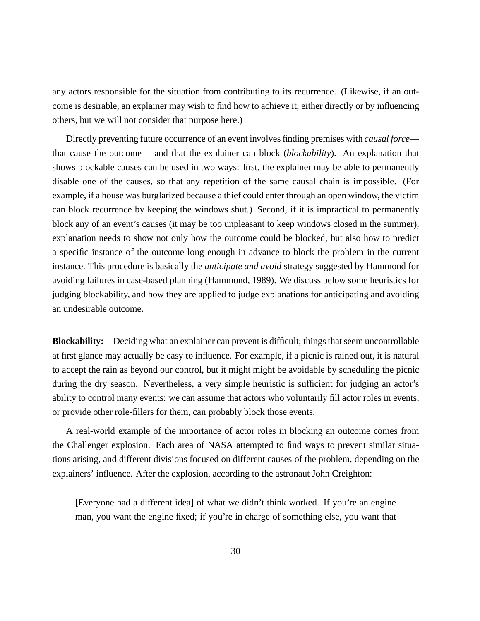any actors responsible for the situation from contributing to its recurrence. (Likewise, if an outcome is desirable, an explainer may wish to find how to achieve it, either directly or by influencing others, but we will not consider that purpose here.)

Directly preventing future occurrence of an event involves finding premises with *causal force* that cause the outcome— and that the explainer can block (*blockability*). An explanation that shows blockable causes can be used in two ways: first, the explainer may be able to permanently disable one of the causes, so that any repetition of the same causal chain is impossible. (For example, if a house was burglarized because a thief could enter through an open window, the victim can block recurrence by keeping the windows shut.) Second, if it is impractical to permanently block any of an event's causes (it may be too unpleasant to keep windows closed in the summer), explanation needs to show not only how the outcome could be blocked, but also how to predict a specific instance of the outcome long enough in advance to block the problem in the current instance. This procedure is basically the *anticipate and avoid* strategy suggested by Hammond for avoiding failures in case-based planning (Hammond, 1989). We discuss below some heuristics for judging blockability, and how they are applied to judge explanations for anticipating and avoiding an undesirable outcome.

**Blockability:** Deciding what an explainer can prevent is difficult; things that seem uncontrollable at first glance may actually be easy to influence. For example, if a picnic is rained out, it is natural to accept the rain as beyond our control, but it might might be avoidable by scheduling the picnic during the dry season. Nevertheless, a very simple heuristic is sufficient for judging an actor's ability to control many events: we can assume that actors who voluntarily fill actor roles in events, or provide other role-fillers for them, can probably block those events.

A real-world example of the importance of actor roles in blocking an outcome comes from the Challenger explosion. Each area of NASA attempted to find ways to prevent similar situations arising, and different divisions focused on different causes of the problem, depending on the explainers' influence. After the explosion, according to the astronaut John Creighton:

[Everyone had a different idea] of what we didn't think worked. If you're an engine man, you want the engine fixed; if you're in charge of something else, you want that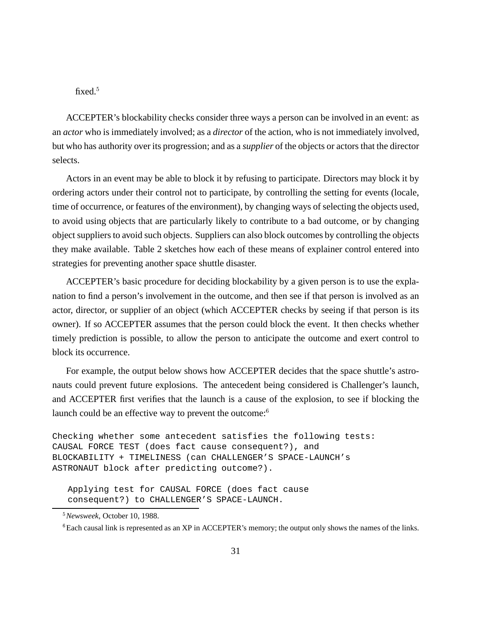fixed.<sup>5</sup>

ACCEPTER's blockability checks consider three ways a person can be involved in an event: as an *actor* who is immediately involved; as a *director* of the action, who is not immediately involved, but who has authority over its progression; and as a *supplier* of the objects or actors that the director selects.

Actors in an event may be able to block it by refusing to participate. Directors may block it by ordering actors under their control not to participate, by controlling the setting for events (locale, time of occurrence, or features of the environment), by changing ways of selecting the objects used, to avoid using objects that are particularly likely to contribute to a bad outcome, or by changing object suppliers to avoid such objects. Suppliers can also block outcomes by controlling the objects they make available. Table 2 sketches how each of these means of explainer control entered into strategies for preventing another space shuttle disaster.

ACCEPTER's basic procedure for deciding blockability by a given person is to use the explanation to find a person's involvement in the outcome, and then see if that person is involved as an actor, director, or supplier of an object (which ACCEPTER checks by seeing if that person is its owner). If so ACCEPTER assumes that the person could block the event. It then checks whether timely prediction is possible, to allow the person to anticipate the outcome and exert control to block its occurrence.

For example, the output below shows how ACCEPTER decides that the space shuttle's astronauts could prevent future explosions. The antecedent being considered is Challenger's launch, and ACCEPTER first verifies that the launch is a cause of the explosion, to see if blocking the launch could be an effective way to prevent the outcome:<sup>6</sup>

Checking whether some antecedent satisfies the following tests: CAUSAL FORCE TEST (does fact cause consequent?), and BLOCKABILITY + TIMELINESS (can CHALLENGER'S SPACE-LAUNCH's ASTRONAUT block after predicting outcome?).

Applying test for CAUSAL FORCE (does fact cause consequent?) to CHALLENGER'S SPACE-LAUNCH.

<sup>5</sup> *Newsweek*, October 10, 1988.

 ${}^{6}$ Each causal link is represented as an XP in ACCEPTER's memory; the output only shows the names of the links.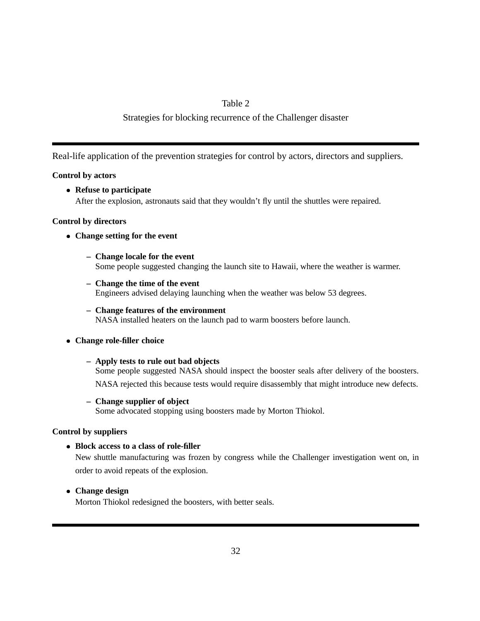## Table 2

## Strategies for blocking recurrence of the Challenger disaster

Real-life application of the prevention strategies for control by actors, directors and suppliers.

#### **Control by actors**

**Refuse to participate**

After the explosion, astronauts said that they wouldn't fly until the shuttles were repaired.

#### **Control by directors**

- **Change setting for the event**
	- **Change locale for the event** Some people suggested changing the launch site to Hawaii, where the weather is warmer.
	- **Change the time of the event** Engineers advised delaying launching when the weather was below 53 degrees.
	- **Change features of the environment** NASA installed heaters on the launch pad to warm boosters before launch.

## **Change role-filler choice**

- **Apply tests to rule out bad objects** Some people suggested NASA should inspect the booster seals after delivery of the boosters. NASA rejected this because tests would require disassembly that might introduce new defects.
- **Change supplier of object** Some advocated stopping using boosters made by Morton Thiokol.

## **Control by suppliers**

**Block access to a class of role-filler**

New shuttle manufacturing was frozen by congress while the Challenger investigation went on, in order to avoid repeats of the explosion.

**Change design**

Morton Thiokol redesigned the boosters, with better seals.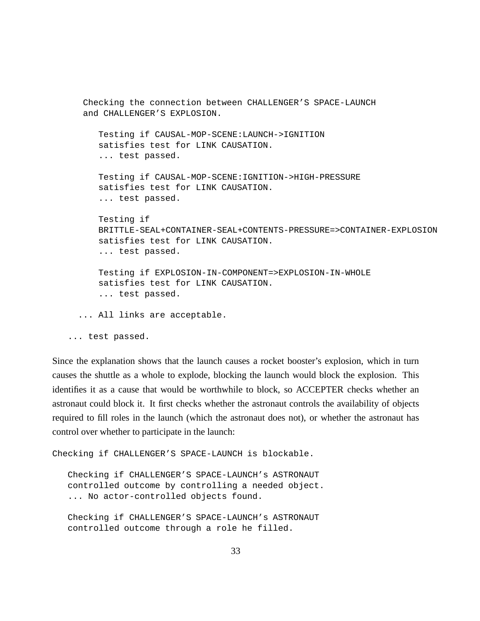```
Checking the connection between CHALLENGER'S SPACE-LAUNCH
  and CHALLENGER'S EXPLOSION.
     Testing if CAUSAL-MOP-SCENE:LAUNCH->IGNITION
     satisfies test for LINK CAUSATION.
      ... test passed.
     Testing if CAUSAL-MOP-SCENE:IGNITION->HIGH-PRESSURE
     satisfies test for LINK CAUSATION.
      ... test passed.
     Testing if
     BRITTLE-SEAL+CONTAINER-SEAL+CONTENTS-PRESSURE=>CONTAINER-EXPLOSION
     satisfies test for LINK CAUSATION.
      ... test passed.
     Testing if EXPLOSION-IN-COMPONENT=>EXPLOSION-IN-WHOLE
     satisfies test for LINK CAUSATION.
      ... test passed.
 ... All links are acceptable.
... test passed.
```
Since the explanation shows that the launch causes a rocket booster's explosion, which in turn causes the shuttle as a whole to explode, blocking the launch would block the explosion. This identifies it as a cause that would be worthwhile to block, so ACCEPTER checks whether an astronaut could block it. It first checks whether the astronaut controls the availability of objects required to fill roles in the launch (which the astronaut does not), or whether the astronaut has control over whether to participate in the launch:

```
Checking if CHALLENGER'S SPACE-LAUNCH is blockable.
```
Checking if CHALLENGER'S SPACE-LAUNCH's ASTRONAUT controlled outcome by controlling a needed object. ... No actor-controlled objects found.

```
Checking if CHALLENGER'S SPACE-LAUNCH's ASTRONAUT
controlled outcome through a role he filled.
```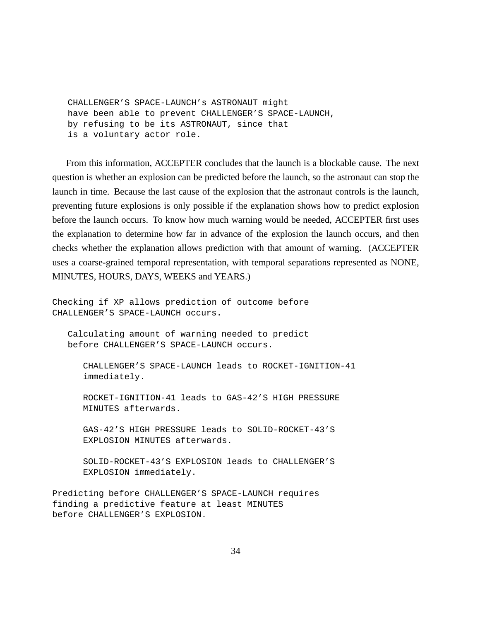CHALLENGER'S SPACE-LAUNCH's ASTRONAUT might have been able to prevent CHALLENGER'S SPACE-LAUNCH, by refusing to be its ASTRONAUT, since that is a voluntary actor role.

From this information, ACCEPTER concludes that the launch is a blockable cause. The next question is whether an explosion can be predicted before the launch, so the astronaut can stop the launch in time. Because the last cause of the explosion that the astronaut controls is the launch, preventing future explosions is only possible if the explanation shows how to predict explosion before the launch occurs. To know how much warning would be needed, ACCEPTER first uses the explanation to determine how far in advance of the explosion the launch occurs, and then checks whether the explanation allows prediction with that amount of warning. (ACCEPTER uses a coarse-grained temporal representation, with temporal separations represented as NONE, MINUTES, HOURS, DAYS, WEEKS and YEARS.)

Checking if XP allows prediction of outcome before CHALLENGER'S SPACE-LAUNCH occurs.

Calculating amount of warning needed to predict before CHALLENGER'S SPACE-LAUNCH occurs.

CHALLENGER'S SPACE-LAUNCH leads to ROCKET-IGNITION-41 immediately.

ROCKET-IGNITION-41 leads to GAS-42'S HIGH PRESSURE MINUTES afterwards.

GAS-42'S HIGH PRESSURE leads to SOLID-ROCKET-43'S EXPLOSION MINUTES afterwards.

SOLID-ROCKET-43'S EXPLOSION leads to CHALLENGER'S EXPLOSION immediately.

Predicting before CHALLENGER'S SPACE-LAUNCH requires finding a predictive feature at least MINUTES before CHALLENGER'S EXPLOSION.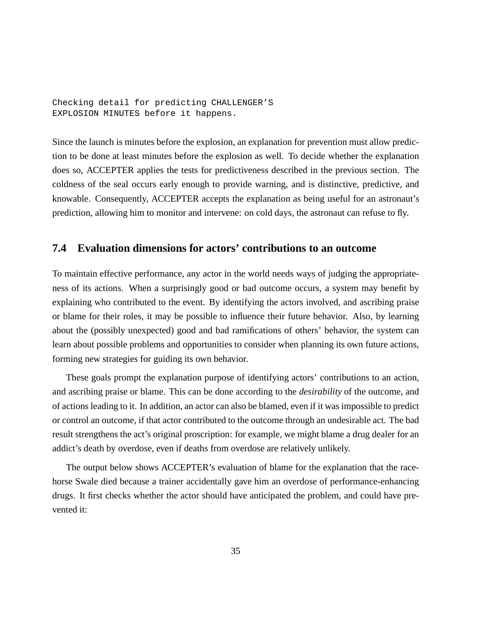```
Checking detail for predicting CHALLENGER'S
EXPLOSION MINUTES before it happens.
```
Since the launch is minutes before the explosion, an explanation for prevention must allow prediction to be done at least minutes before the explosion as well. To decide whether the explanation does so, ACCEPTER applies the tests for predictiveness described in the previous section. The coldness of the seal occurs early enough to provide warning, and is distinctive, predictive, and knowable. Consequently, ACCEPTER accepts the explanation as being useful for an astronaut's prediction, allowing him to monitor and intervene: on cold days, the astronaut can refuse to fly.

## **7.4 Evaluation dimensions for actors' contributions to an outcome**

To maintain effective performance, any actor in the world needs ways of judging the appropriateness of its actions. When a surprisingly good or bad outcome occurs, a system may benefit by explaining who contributed to the event. By identifying the actors involved, and ascribing praise or blame for their roles, it may be possible to influence their future behavior. Also, by learning about the (possibly unexpected) good and bad ramifications of others' behavior, the system can learn about possible problems and opportunities to consider when planning its own future actions, forming new strategies for guiding its own behavior.

These goals prompt the explanation purpose of identifying actors' contributions to an action, and ascribing praise or blame. This can be done according to the *desirability* of the outcome, and of actions leading to it. In addition, an actor can also be blamed, even if it was impossible to predict or control an outcome, if that actor contributed to the outcome through an undesirable act. The bad result strengthens the act's original proscription: for example, we might blame a drug dealer for an addict's death by overdose, even if deaths from overdose are relatively unlikely.

The output below shows ACCEPTER's evaluation of blame for the explanation that the racehorse Swale died because a trainer accidentally gave him an overdose of performance-enhancing drugs. It first checks whether the actor should have anticipated the problem, and could have prevented it: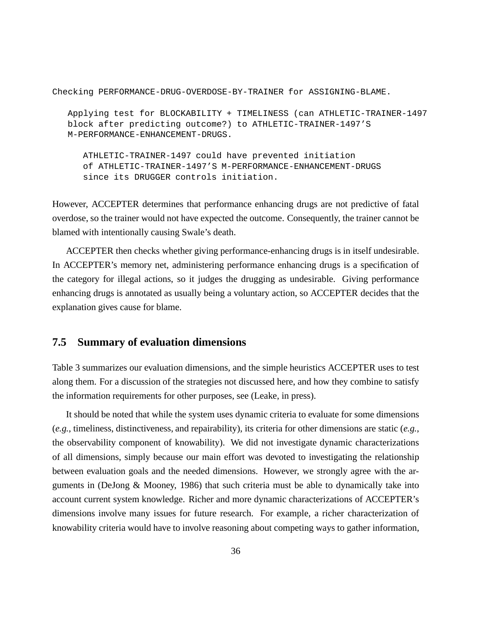Checking PERFORMANCE-DRUG-OVERDOSE-BY-TRAINER for ASSIGNING-BLAME.

Applying test for BLOCKABILITY + TIMELINESS (can ATHLETIC-TRAINER-1497 block after predicting outcome?) to ATHLETIC-TRAINER-1497'S M-PERFORMANCE-ENHANCEMENT-DRUGS.

ATHLETIC-TRAINER-1497 could have prevented initiation of ATHLETIC-TRAINER-1497'S M-PERFORMANCE-ENHANCEMENT-DRUGS since its DRUGGER controls initiation.

However, ACCEPTER determines that performance enhancing drugs are not predictive of fatal overdose, so the trainer would not have expected the outcome. Consequently, the trainer cannot be blamed with intentionally causing Swale's death.

ACCEPTER then checks whether giving performance-enhancing drugs is in itself undesirable. In ACCEPTER's memory net, administering performance enhancing drugs is a specification of the category for illegal actions, so it judges the drugging as undesirable. Giving performance enhancing drugs is annotated as usually being a voluntary action, so ACCEPTER decides that the explanation gives cause for blame.

### **7.5 Summary of evaluation dimensions**

Table 3 summarizes our evaluation dimensions, and the simple heuristics ACCEPTER uses to test along them. For a discussion of the strategies not discussed here, and how they combine to satisfy the information requirements for other purposes, see (Leake, in press).

It should be noted that while the system uses dynamic criteria to evaluate for some dimensions (*e.g.*, timeliness, distinctiveness, and repairability), its criteria for other dimensions are static (*e.g.*, the observability component of knowability). We did not investigate dynamic characterizations of all dimensions, simply because our main effort was devoted to investigating the relationship between evaluation goals and the needed dimensions. However, we strongly agree with the arguments in (DeJong & Mooney, 1986) that such criteria must be able to dynamically take into account current system knowledge. Richer and more dynamic characterizations of ACCEPTER's dimensions involve many issues for future research. For example, a richer characterization of knowability criteria would have to involve reasoning about competing ways to gather information,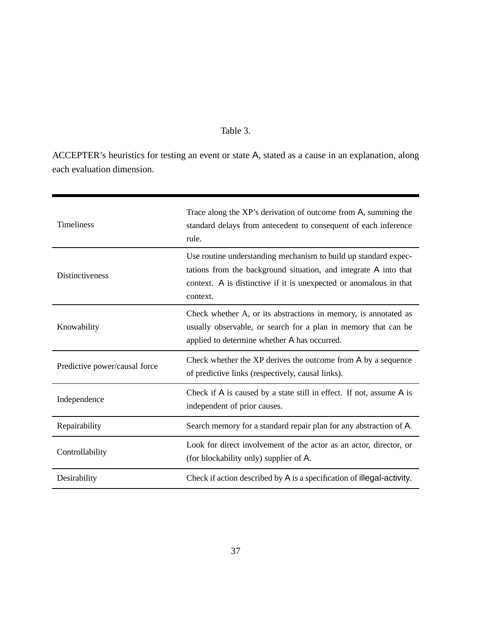## Table 3.

ACCEPTER's heuristics for testing an event or state A, stated as a cause in an explanation, along each evaluation dimension.

| <b>Timeliness</b>             | Trace along the XP's derivation of outcome from A, summing the<br>standard delays from antecedent to consequent of each inference<br>rule.                                                                            |
|-------------------------------|-----------------------------------------------------------------------------------------------------------------------------------------------------------------------------------------------------------------------|
| <b>Distinctiveness</b>        | Use routine understanding mechanism to build up standard expec-<br>tations from the background situation, and integrate A into that<br>context. A is distinctive if it is unexpected or anomalous in that<br>context. |
| Knowability                   | Check whether A, or its abstractions in memory, is annotated as<br>usually observable, or search for a plan in memory that can be<br>applied to determine whether A has occurred.                                     |
| Predictive power/causal force | Check whether the XP derives the outcome from A by a sequence<br>of predictive links (respectively, causal links).                                                                                                    |
| Independence                  | Check if A is caused by a state still in effect. If not, assume A is<br>independent of prior causes.                                                                                                                  |
| Repairability                 | Search memory for a standard repair plan for any abstraction of A.                                                                                                                                                    |
| Controllability               | Look for direct involvement of the actor as an actor, director, or<br>(for blockability only) supplier of A.                                                                                                          |
| Desirability                  | Check if action described by A is a specification of illegal-activity.                                                                                                                                                |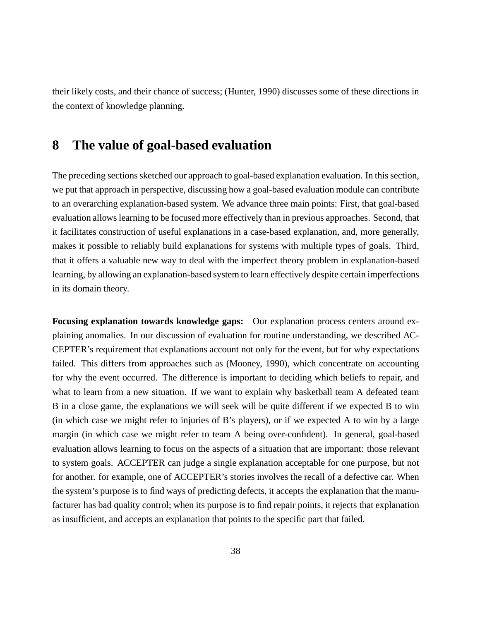their likely costs, and their chance of success; (Hunter, 1990) discusses some of these directions in the context of knowledge planning.

# **8 The value of goal-based evaluation**

The preceding sections sketched our approach to goal-based explanation evaluation. In this section, we put that approach in perspective, discussing how a goal-based evaluation module can contribute to an overarching explanation-based system. We advance three main points: First, that goal-based evaluation allows learning to be focused more effectively than in previous approaches. Second, that it facilitates construction of useful explanations in a case-based explanation, and, more generally, makes it possible to reliably build explanations for systems with multiple types of goals. Third, that it offers a valuable new way to deal with the imperfect theory problem in explanation-based learning, by allowing an explanation-based system to learn effectively despite certain imperfections in its domain theory.

**Focusing explanation towards knowledge gaps:** Our explanation process centers around explaining anomalies. In our discussion of evaluation for routine understanding, we described AC-CEPTER's requirement that explanations account not only for the event, but for why expectations failed. This differs from approaches such as (Mooney, 1990), which concentrate on accounting for why the event occurred. The difference is important to deciding which beliefs to repair, and what to learn from a new situation. If we want to explain why basketball team A defeated team B in a close game, the explanations we will seek will be quite different if we expected B to win (in which case we might refer to injuries of B's players), or if we expected A to win by a large margin (in which case we might refer to team A being over-confident). In general, goal-based evaluation allows learning to focus on the aspects of a situation that are important: those relevant to system goals. ACCEPTER can judge a single explanation acceptable for one purpose, but not for another. for example, one of ACCEPTER's stories involves the recall of a defective car. When the system's purpose is to find ways of predicting defects, it accepts the explanation that the manufacturer has bad quality control; when its purpose is to find repair points, it rejects that explanation as insufficient, and accepts an explanation that points to the specific part that failed.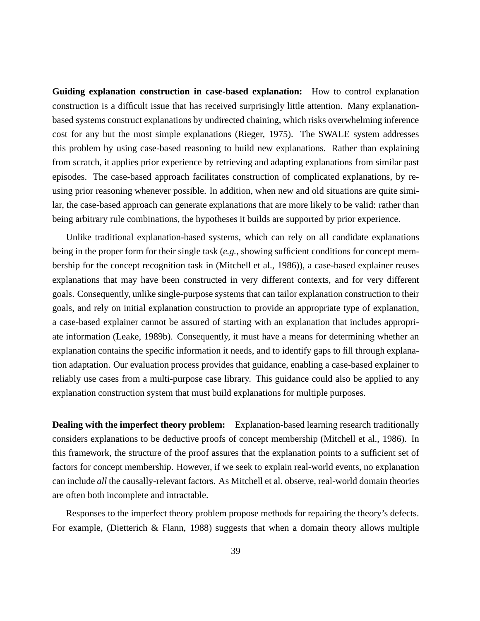**Guiding explanation construction in case-based explanation:** How to control explanation construction is a difficult issue that has received surprisingly little attention. Many explanationbased systems construct explanations by undirected chaining, which risks overwhelming inference cost for any but the most simple explanations (Rieger, 1975). The SWALE system addresses this problem by using case-based reasoning to build new explanations. Rather than explaining from scratch, it applies prior experience by retrieving and adapting explanations from similar past episodes. The case-based approach facilitates construction of complicated explanations, by reusing prior reasoning whenever possible. In addition, when new and old situations are quite similar, the case-based approach can generate explanations that are more likely to be valid: rather than being arbitrary rule combinations, the hypotheses it builds are supported by prior experience.

Unlike traditional explanation-based systems, which can rely on all candidate explanations being in the proper form for their single task (*e.g.*, showing sufficient conditions for concept membership for the concept recognition task in (Mitchell et al., 1986)), a case-based explainer reuses explanations that may have been constructed in very different contexts, and for very different goals. Consequently, unlike single-purpose systems that can tailor explanation construction to their goals, and rely on initial explanation construction to provide an appropriate type of explanation, a case-based explainer cannot be assured of starting with an explanation that includes appropriate information (Leake, 1989b). Consequently, it must have a means for determining whether an explanation contains the specific information it needs, and to identify gaps to fill through explanation adaptation. Our evaluation process provides that guidance, enabling a case-based explainer to reliably use cases from a multi-purpose case library. This guidance could also be applied to any explanation construction system that must build explanations for multiple purposes.

**Dealing with the imperfect theory problem:** Explanation-based learning research traditionally considers explanations to be deductive proofs of concept membership (Mitchell et al., 1986). In this framework, the structure of the proof assures that the explanation points to a sufficient set of factors for concept membership. However, if we seek to explain real-world events, no explanation can include *all* the causally-relevant factors. As Mitchell et al. observe, real-world domain theories are often both incomplete and intractable.

Responses to the imperfect theory problem propose methods for repairing the theory's defects. For example, (Dietterich & Flann, 1988) suggests that when a domain theory allows multiple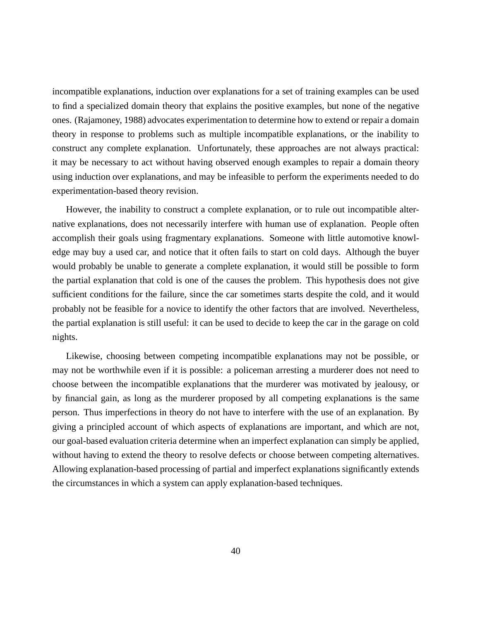incompatible explanations, induction over explanations for a set of training examples can be used to find a specialized domain theory that explains the positive examples, but none of the negative ones. (Rajamoney, 1988) advocates experimentation to determine how to extend or repair a domain theory in response to problems such as multiple incompatible explanations, or the inability to construct any complete explanation. Unfortunately, these approaches are not always practical: it may be necessary to act without having observed enough examples to repair a domain theory using induction over explanations, and may be infeasible to perform the experiments needed to do experimentation-based theory revision.

However, the inability to construct a complete explanation, or to rule out incompatible alternative explanations, does not necessarily interfere with human use of explanation. People often accomplish their goals using fragmentary explanations. Someone with little automotive knowledge may buy a used car, and notice that it often fails to start on cold days. Although the buyer would probably be unable to generate a complete explanation, it would still be possible to form the partial explanation that cold is one of the causes the problem. This hypothesis does not give sufficient conditions for the failure, since the car sometimes starts despite the cold, and it would probably not be feasible for a novice to identify the other factors that are involved. Nevertheless, the partial explanation is still useful: it can be used to decide to keep the car in the garage on cold nights.

Likewise, choosing between competing incompatible explanations may not be possible, or may not be worthwhile even if it is possible: a policeman arresting a murderer does not need to choose between the incompatible explanations that the murderer was motivated by jealousy, or by financial gain, as long as the murderer proposed by all competing explanations is the same person. Thus imperfections in theory do not have to interfere with the use of an explanation. By giving a principled account of which aspects of explanations are important, and which are not, our goal-based evaluation criteria determine when an imperfect explanation can simply be applied, without having to extend the theory to resolve defects or choose between competing alternatives. Allowing explanation-based processing of partial and imperfect explanations significantly extends the circumstances in which a system can apply explanation-based techniques.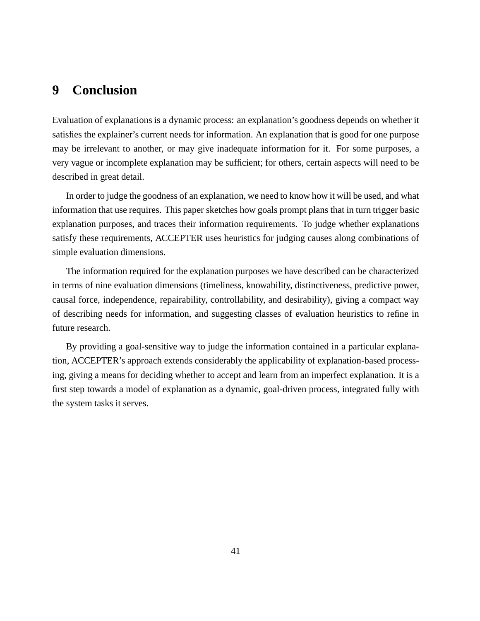# **9 Conclusion**

Evaluation of explanations is a dynamic process: an explanation's goodness depends on whether it satisfies the explainer's current needs for information. An explanation that is good for one purpose may be irrelevant to another, or may give inadequate information for it. For some purposes, a very vague or incomplete explanation may be sufficient; for others, certain aspects will need to be described in great detail.

In order to judge the goodness of an explanation, we need to know how it will be used, and what information that use requires. This paper sketches how goals prompt plans that in turn trigger basic explanation purposes, and traces their information requirements. To judge whether explanations satisfy these requirements, ACCEPTER uses heuristics for judging causes along combinations of simple evaluation dimensions.

The information required for the explanation purposes we have described can be characterized in terms of nine evaluation dimensions (timeliness, knowability, distinctiveness, predictive power, causal force, independence, repairability, controllability, and desirability), giving a compact way of describing needs for information, and suggesting classes of evaluation heuristics to refine in future research.

By providing a goal-sensitive way to judge the information contained in a particular explanation, ACCEPTER's approach extends considerably the applicability of explanation-based processing, giving a means for deciding whether to accept and learn from an imperfect explanation. It is a first step towards a model of explanation as a dynamic, goal-driven process, integrated fully with the system tasks it serves.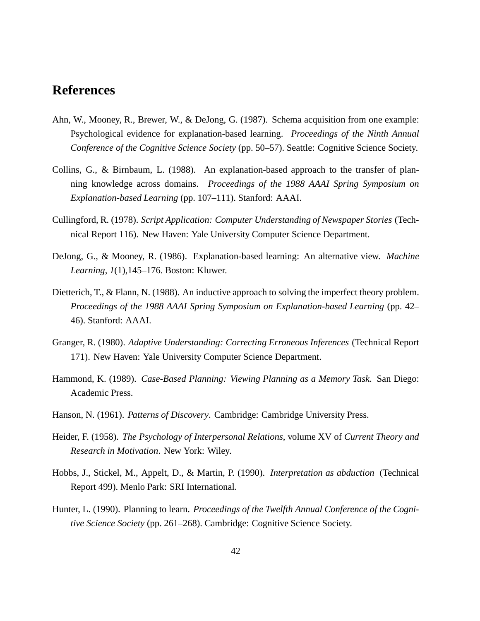# **References**

- Ahn, W., Mooney, R., Brewer, W., & DeJong, G. (1987). Schema acquisition from one example: Psychological evidence for explanation-based learning. *Proceedings of the Ninth Annual Conference of the Cognitive Science Society* (pp. 50–57). Seattle: Cognitive Science Society.
- Collins, G., & Birnbaum, L. (1988). An explanation-based approach to the transfer of planning knowledge across domains. *Proceedings of the 1988 AAAI Spring Symposium on Explanation-based Learning* (pp. 107–111). Stanford: AAAI.
- Cullingford, R. (1978). *Script Application: Computer Understanding of Newspaper Stories* (Technical Report 116). New Haven: Yale University Computer Science Department.
- DeJong, G., & Mooney, R. (1986). Explanation-based learning: An alternative view. *Machine Learning*, *1*(1),145–176. Boston: Kluwer.
- Dietterich, T., & Flann, N. (1988). An inductive approach to solving the imperfect theory problem. *Proceedings of the 1988 AAAI Spring Symposium on Explanation-based Learning* (pp. 42– 46). Stanford: AAAI.
- Granger, R. (1980). *Adaptive Understanding: Correcting Erroneous Inferences* (Technical Report 171). New Haven: Yale University Computer Science Department.
- Hammond, K. (1989). *Case-Based Planning: Viewing Planning as a Memory Task*. San Diego: Academic Press.
- Hanson, N. (1961). *Patterns of Discovery*. Cambridge: Cambridge University Press.
- Heider, F. (1958). *The Psychology of Interpersonal Relations*, volume XV of *Current Theory and Research in Motivation*. New York: Wiley.
- Hobbs, J., Stickel, M., Appelt, D., & Martin, P. (1990). *Interpretation as abduction* (Technical Report 499). Menlo Park: SRI International.
- Hunter, L. (1990). Planning to learn. *Proceedings of the Twelfth Annual Conference of the Cognitive Science Society* (pp. 261–268). Cambridge: Cognitive Science Society.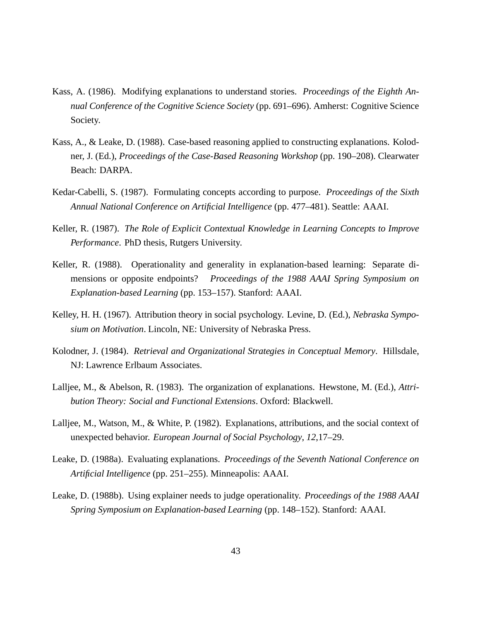- Kass, A. (1986). Modifying explanations to understand stories. *Proceedings of the Eighth Annual Conference of the Cognitive Science Society* (pp. 691–696). Amherst: Cognitive Science Society.
- Kass, A., & Leake, D. (1988). Case-based reasoning applied to constructing explanations. Kolodner, J. (Ed.), *Proceedings of the Case-Based Reasoning Workshop* (pp. 190–208). Clearwater Beach: DARPA.
- Kedar-Cabelli, S. (1987). Formulating concepts according to purpose. *Proceedings of the Sixth Annual National Conference on Artificial Intelligence* (pp. 477–481). Seattle: AAAI.
- Keller, R. (1987). *The Role of Explicit Contextual Knowledge in Learning Concepts to Improve Performance*. PhD thesis, Rutgers University.
- Keller, R. (1988). Operationality and generality in explanation-based learning: Separate dimensions or opposite endpoints? *Proceedings of the 1988 AAAI Spring Symposium on Explanation-based Learning* (pp. 153–157). Stanford: AAAI.
- Kelley, H. H. (1967). Attribution theory in social psychology. Levine, D. (Ed.), *Nebraska Symposium on Motivation*. Lincoln, NE: University of Nebraska Press.
- Kolodner, J. (1984). *Retrieval and Organizational Strategies in Conceptual Memory*. Hillsdale, NJ: Lawrence Erlbaum Associates.
- Lalljee, M., & Abelson, R. (1983). The organization of explanations. Hewstone, M. (Ed.), *Attribution Theory: Social and Functional Extensions*. Oxford: Blackwell.
- Lalljee, M., Watson, M., & White, P. (1982). Explanations, attributions, and the social context of unexpected behavior. *European Journal of Social Psychology*, *12*,17–29.
- Leake, D. (1988a). Evaluating explanations. *Proceedings of the Seventh National Conference on Artificial Intelligence* (pp. 251–255). Minneapolis: AAAI.
- Leake, D. (1988b). Using explainer needs to judge operationality. *Proceedings of the 1988 AAAI Spring Symposium on Explanation-based Learning* (pp. 148–152). Stanford: AAAI.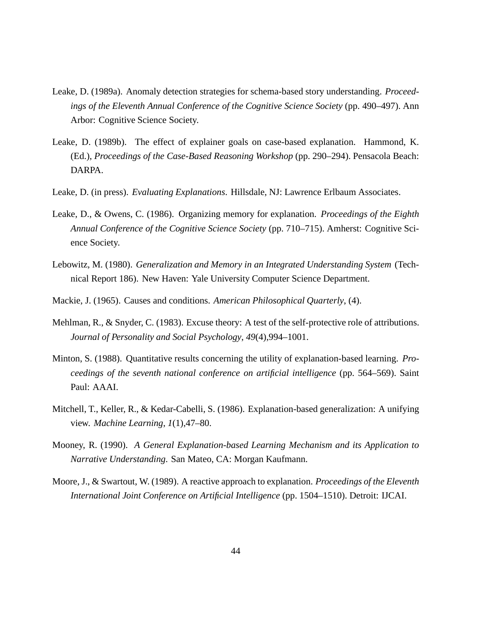- Leake, D. (1989a). Anomaly detection strategies for schema-based story understanding. *Proceedings of the Eleventh Annual Conference of the Cognitive Science Society* (pp. 490–497). Ann Arbor: Cognitive Science Society.
- Leake, D. (1989b). The effect of explainer goals on case-based explanation. Hammond, K. (Ed.), *Proceedings of the Case-Based Reasoning Workshop* (pp. 290–294). Pensacola Beach: DARPA.
- Leake, D. (in press). *Evaluating Explanations*. Hillsdale, NJ: Lawrence Erlbaum Associates.
- Leake, D., & Owens, C. (1986). Organizing memory for explanation. *Proceedings of the Eighth Annual Conference of the Cognitive Science Society* (pp. 710–715). Amherst: Cognitive Science Society.
- Lebowitz, M. (1980). *Generalization and Memory in an Integrated Understanding System* (Technical Report 186). New Haven: Yale University Computer Science Department.
- Mackie, J. (1965). Causes and conditions. *American Philosophical Quarterly*, (4).
- Mehlman, R., & Snyder, C. (1983). Excuse theory: A test of the self-protective role of attributions. *Journal of Personality and Social Psychology*, *49*(4),994–1001.
- Minton, S. (1988). Quantitative results concerning the utility of explanation-based learning. *Proceedings of the seventh national conference on artificial intelligence* (pp. 564–569). Saint Paul: AAAI.
- Mitchell, T., Keller, R., & Kedar-Cabelli, S. (1986). Explanation-based generalization: A unifying view. *Machine Learning*, *1*(1),47–80.
- Mooney, R. (1990). *A General Explanation-based Learning Mechanism and its Application to Narrative Understanding*. San Mateo, CA: Morgan Kaufmann.
- Moore, J., & Swartout, W. (1989). A reactive approach to explanation. *Proceedings of the Eleventh International Joint Conference on Artificial Intelligence* (pp. 1504–1510). Detroit: IJCAI.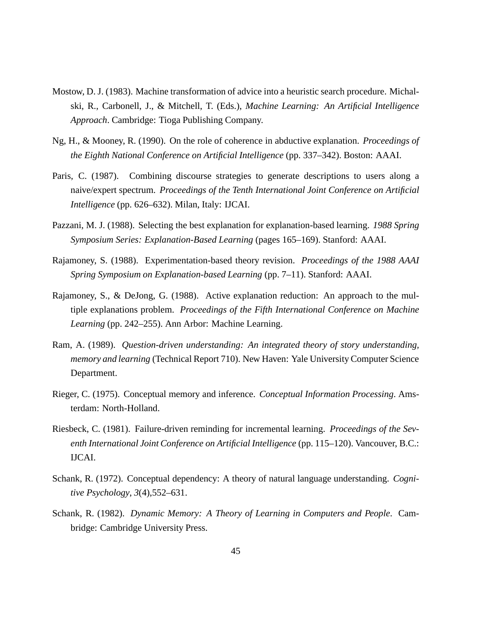- Mostow, D. J. (1983). Machine transformation of advice into a heuristic search procedure. Michalski, R., Carbonell, J., & Mitchell, T. (Eds.), *Machine Learning: An Artificial Intelligence Approach*. Cambridge: Tioga Publishing Company.
- Ng, H., & Mooney, R. (1990). On the role of coherence in abductive explanation. *Proceedings of the Eighth National Conference on Artificial Intelligence* (pp. 337–342). Boston: AAAI.
- Paris, C. (1987). Combining discourse strategies to generate descriptions to users along a naive/expert spectrum. *Proceedings of the Tenth International Joint Conference on Artificial Intelligence* (pp. 626–632). Milan, Italy: IJCAI.
- Pazzani, M. J. (1988). Selecting the best explanation for explanation-based learning. *1988 Spring Symposium Series: Explanation-Based Learning* (pages 165–169). Stanford: AAAI.
- Rajamoney, S. (1988). Experimentation-based theory revision. *Proceedings of the 1988 AAAI Spring Symposium on Explanation-based Learning* (pp. 7–11). Stanford: AAAI.
- Rajamoney, S., & DeJong, G. (1988). Active explanation reduction: An approach to the multiple explanations problem. *Proceedings of the Fifth International Conference on Machine Learning* (pp. 242–255). Ann Arbor: Machine Learning.
- Ram, A. (1989). *Question-driven understanding: An integrated theory of story understanding, memory and learning* (Technical Report 710). New Haven: Yale University Computer Science Department.
- Rieger, C. (1975). Conceptual memory and inference. *Conceptual Information Processing*. Amsterdam: North-Holland.
- Riesbeck, C. (1981). Failure-driven reminding for incremental learning. *Proceedings of the Seventh International Joint Conference on Artificial Intelligence* (pp. 115–120). Vancouver, B.C.: IJCAI.
- Schank, R. (1972). Conceptual dependency: A theory of natural language understanding. *Cognitive Psychology*, *3*(4),552–631.
- Schank, R. (1982). *Dynamic Memory: A Theory of Learning in Computers and People*. Cambridge: Cambridge University Press.